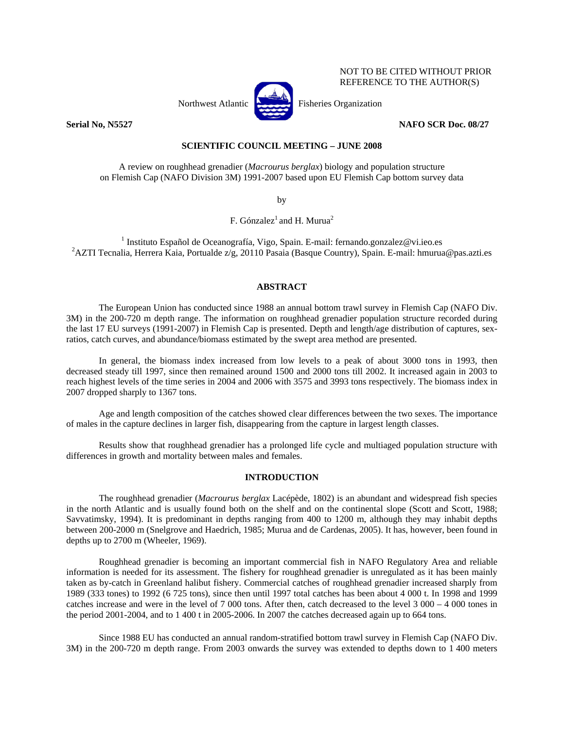

NOT TO BE CITED WITHOUT PRIOR REFERENCE TO THE AUTHOR(S)

### **Serial No, N5527 NAFO SCR Doc. 08/27**

## **SCIENTIFIC COUNCIL MEETING – JUNE 2008**

A review on roughhead grenadier (*Macrourus berglax*) biology and population structure on Flemish Cap (NAFO Division 3M) 1991-2007 based upon EU Flemish Cap bottom survey data

by

F. Gónzalez<sup>1</sup> and H. Murua<sup>2</sup>

<sup>1</sup> Instituto Español de Oceanografía, Vigo, Spain. E-mail: fernando.gonzalez@vi.ieo.es<br><sup>2</sup> AZTI Teanolia, Harrera Kaia, Bartualda z/g. 20110 Basaia (Basaua Country), Spain. E-mail: hyurua <sup>2</sup>AZTI Tecnalia, Herrera Kaia, Portualde z/g, 20110 Pasaia (Basque Country), Spain. E-mail: hmurua@pas.azti.es

#### **ABSTRACT**

The European Union has conducted since 1988 an annual bottom trawl survey in Flemish Cap (NAFO Div. 3M) in the 200-720 m depth range. The information on roughhead grenadier population structure recorded during the last 17 EU surveys (1991-2007) in Flemish Cap is presented. Depth and length/age distribution of captures, sexratios, catch curves, and abundance/biomass estimated by the swept area method are presented.

In general, the biomass index increased from low levels to a peak of about 3000 tons in 1993, then decreased steady till 1997, since then remained around 1500 and 2000 tons till 2002. It increased again in 2003 to reach highest levels of the time series in 2004 and 2006 with 3575 and 3993 tons respectively. The biomass index in 2007 dropped sharply to 1367 tons.

Age and length composition of the catches showed clear differences between the two sexes. The importance of males in the capture declines in larger fish, disappearing from the capture in largest length classes.

Results show that roughhead grenadier has a prolonged life cycle and multiaged population structure with differences in growth and mortality between males and females.

#### **INTRODUCTION**

The roughhead grenadier (*Macrourus berglax* Lacépède, 1802) is an abundant and widespread fish species in the north Atlantic and is usually found both on the shelf and on the continental slope (Scott and Scott, 1988; Savvatimsky, 1994). It is predominant in depths ranging from 400 to 1200 m, although they may inhabit depths between 200-2000 m (Snelgrove and Haedrich, 1985; Murua and de Cardenas, 2005). It has, however, been found in depths up to 2700 m (Wheeler, 1969).

Roughhead grenadier is becoming an important commercial fish in NAFO Regulatory Area and reliable information is needed for its assessment. The fishery for roughhead grenadier is unregulated as it has been mainly taken as by-catch in Greenland halibut fishery. Commercial catches of roughhead grenadier increased sharply from 1989 (333 tones) to 1992 (6 725 tons), since then until 1997 total catches has been about 4 000 t. In 1998 and 1999 catches increase and were in the level of 7 000 tons. After then, catch decreased to the level 3 000 – 4 000 tones in the period 2001-2004, and to 1 400 t in 2005-2006. In 2007 the catches decreased again up to 664 tons.

 Since 1988 EU has conducted an annual random-stratified bottom trawl survey in Flemish Cap (NAFO Div. 3M) in the 200-720 m depth range. From 2003 onwards the survey was extended to depths down to 1 400 meters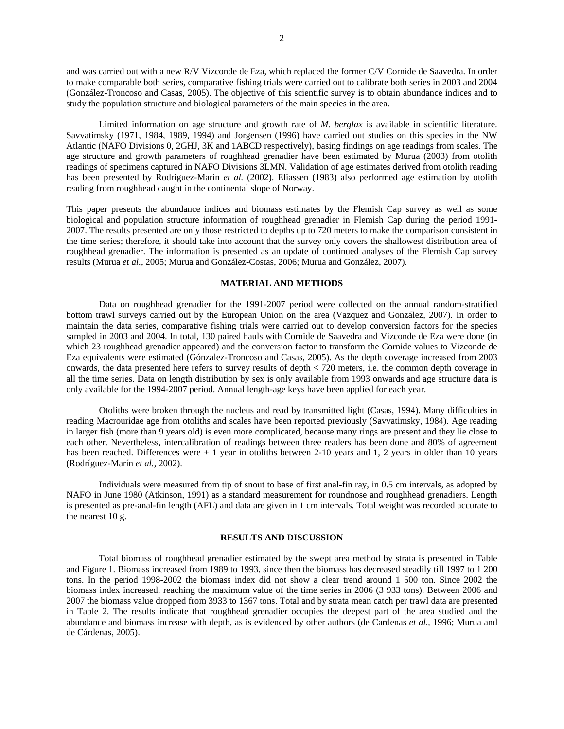and was carried out with a new R/V Vizconde de Eza, which replaced the former C/V Cornide de Saavedra. In order to make comparable both series, comparative fishing trials were carried out to calibrate both series in 2003 and 2004 (González-Troncoso and Casas, 2005). The objective of this scientific survey is to obtain abundance indices and to study the population structure and biological parameters of the main species in the area.

 Limited information on age structure and growth rate of *M. berglax* is available in scientific literature. Savvatimsky (1971, 1984, 1989, 1994) and Jorgensen (1996) have carried out studies on this species in the NW Atlantic (NAFO Divisions 0, 2GHJ, 3K and 1ABCD respectively), basing findings on age readings from scales. The age structure and growth parameters of roughhead grenadier have been estimated by Murua (2003) from otolith readings of specimens captured in NAFO Divisions 3LMN. Validation of age estimates derived from otolith reading has been presented by Rodríguez-Marín *et al.* (2002). Eliassen (1983) also performed age estimation by otolith reading from roughhead caught in the continental slope of Norway.

This paper presents the abundance indices and biomass estimates by the Flemish Cap survey as well as some biological and population structure information of roughhead grenadier in Flemish Cap during the period 1991- 2007. The results presented are only those restricted to depths up to 720 meters to make the comparison consistent in the time series; therefore, it should take into account that the survey only covers the shallowest distribution area of roughhead grenadier. The information is presented as an update of continued analyses of the Flemish Cap survey results (Murua *et al.*, 2005; Murua and González-Costas, 2006; Murua and González, 2007).

#### **MATERIAL AND METHODS**

Data on roughhead grenadier for the 1991-2007 period were collected on the annual random-stratified bottom trawl surveys carried out by the European Union on the area (Vazquez and González*,* 2007). In order to maintain the data series, comparative fishing trials were carried out to develop conversion factors for the species sampled in 2003 and 2004. In total, 130 paired hauls with Cornide de Saavedra and Vizconde de Eza were done (in which 23 roughhead grenadier appeared) and the conversion factor to transform the Cornide values to Vizconde de Eza equivalents were estimated (Gónzalez-Troncoso and Casas, 2005). As the depth coverage increased from 2003 onwards, the data presented here refers to survey results of depth < 720 meters, i.e. the common depth coverage in all the time series. Data on length distribution by sex is only available from 1993 onwards and age structure data is only available for the 1994-2007 period. Annual length-age keys have been applied for each year.

Otoliths were broken through the nucleus and read by transmitted light (Casas, 1994). Many difficulties in reading Macrouridae age from otoliths and scales have been reported previously (Savvatimsky, 1984). Age reading in larger fish (more than 9 years old) is even more complicated, because many rings are present and they lie close to each other. Nevertheless, intercalibration of readings between three readers has been done and 80% of agreement has been reached. Differences were  $\pm 1$  year in otoliths between 2-10 years and 1, 2 years in older than 10 years (Rodríguez-Marín *et al.*, 2002).

Individuals were measured from tip of snout to base of first anal-fin ray, in 0.5 cm intervals, as adopted by NAFO in June 1980 (Atkinson, 1991) as a standard measurement for roundnose and roughhead grenadiers. Length is presented as pre-anal-fin length (AFL) and data are given in 1 cm intervals. Total weight was recorded accurate to the nearest 10 g.

#### **RESULTS AND DISCUSSION**

Total biomass of roughhead grenadier estimated by the swept area method by strata is presented in Table and Figure 1. Biomass increased from 1989 to 1993, since then the biomass has decreased steadily till 1997 to 1 200 tons. In the period 1998-2002 the biomass index did not show a clear trend around 1 500 ton. Since 2002 the biomass index increased, reaching the maximum value of the time series in 2006 (3 933 tons). Between 2006 and 2007 the biomass value dropped from 3933 to 1367 tons. Total and by strata mean catch per trawl data are presented in Table 2. The results indicate that roughhead grenadier occupies the deepest part of the area studied and the abundance and biomass increase with depth, as is evidenced by other authors (de Cardenas *et al*., 1996; Murua and de Cárdenas, 2005).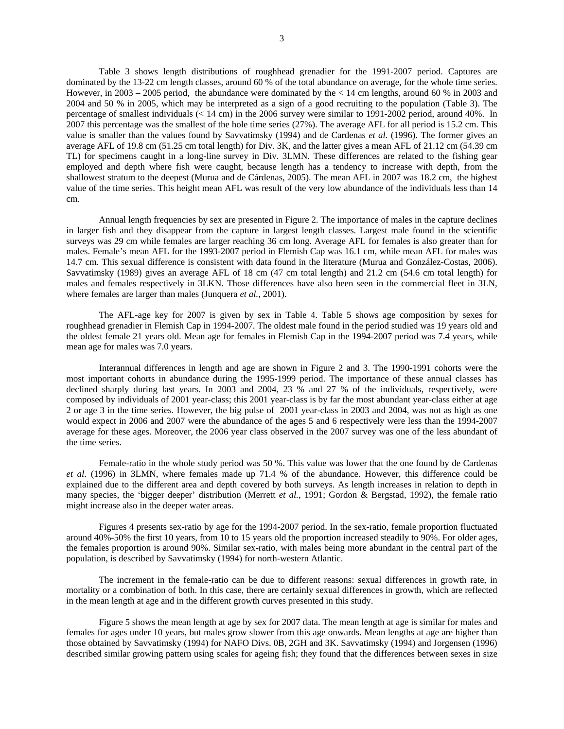Table 3 shows length distributions of roughhead grenadier for the 1991-2007 period. Captures are dominated by the 13-22 cm length classes, around 60 % of the total abundance on average, for the whole time series. However, in 2003 – 2005 period, the abundance were dominated by the < 14 cm lengths, around 60 % in 2003 and 2004 and 50 % in 2005, which may be interpreted as a sign of a good recruiting to the population (Table 3). The percentage of smallest individuals (< 14 cm) in the 2006 survey were similar to 1991-2002 period, around 40%. In 2007 this percentage was the smallest of the hole time series (27%). The average AFL for all period is 15.2 cm. This value is smaller than the values found by Savvatimsky (1994) and de Cardenas *et al*. (1996). The former gives an average AFL of 19.8 cm (51.25 cm total length) for Div. 3K, and the latter gives a mean AFL of 21.12 cm (54.39 cm TL) for specimens caught in a long-line survey in Div. 3LMN. These differences are related to the fishing gear employed and depth where fish were caught, because length has a tendency to increase with depth, from the shallowest stratum to the deepest (Murua and de Cárdenas, 2005). The mean AFL in 2007 was 18.2 cm, the highest value of the time series. This height mean AFL was result of the very low abundance of the individuals less than 14 cm.

Annual length frequencies by sex are presented in Figure 2. The importance of males in the capture declines in larger fish and they disappear from the capture in largest length classes. Largest male found in the scientific surveys was 29 cm while females are larger reaching 36 cm long. Average AFL for females is also greater than for males. Female's mean AFL for the 1993-2007 period in Flemish Cap was 16.1 cm, while mean AFL for males was 14.7 cm. This sexual difference is consistent with data found in the literature (Murua and González-Costas, 2006). Savvatimsky (1989) gives an average AFL of 18 cm (47 cm total length) and 21.2 cm (54.6 cm total length) for males and females respectively in 3LKN. Those differences have also been seen in the commercial fleet in 3LN, where females are larger than males (Junquera *et al.*, 2001).

The AFL-age key for 2007 is given by sex in Table 4. Table 5 shows age composition by sexes for roughhead grenadier in Flemish Cap in 1994-2007. The oldest male found in the period studied was 19 years old and the oldest female 21 years old. Mean age for females in Flemish Cap in the 1994-2007 period was 7.4 years, while mean age for males was 7.0 years.

Interannual differences in length and age are shown in Figure 2 and 3. The 1990-1991 cohorts were the most important cohorts in abundance during the 1995-1999 period. The importance of these annual classes has declined sharply during last years. In 2003 and 2004, 23 % and 27 % of the individuals, respectively, were composed by individuals of 2001 year-class; this 2001 year-class is by far the most abundant year-class either at age 2 or age 3 in the time series. However, the big pulse of 2001 year-class in 2003 and 2004, was not as high as one would expect in 2006 and 2007 were the abundance of the ages 5 and 6 respectively were less than the 1994-2007 average for these ages. Moreover, the 2006 year class observed in the 2007 survey was one of the less abundant of the time series.

Female-ratio in the whole study period was 50 %. This value was lower that the one found by de Cardenas *et al*. (1996) in 3LMN, where females made up 71.4 % of the abundance. However, this difference could be explained due to the different area and depth covered by both surveys. As length increases in relation to depth in many species, the 'bigger deeper' distribution (Merrett *et al.*, 1991; Gordon & Bergstad, 1992), the female ratio might increase also in the deeper water areas.

Figures 4 presents sex-ratio by age for the 1994-2007 period. In the sex-ratio, female proportion fluctuated around 40%-50% the first 10 years, from 10 to 15 years old the proportion increased steadily to 90%. For older ages, the females proportion is around 90%. Similar sex-ratio, with males being more abundant in the central part of the population, is described by Savvatimsky (1994) for north-western Atlantic.

The increment in the female-ratio can be due to different reasons: sexual differences in growth rate, in mortality or a combination of both. In this case, there are certainly sexual differences in growth, which are reflected in the mean length at age and in the different growth curves presented in this study.

Figure 5 shows the mean length at age by sex for 2007 data. The mean length at age is similar for males and females for ages under 10 years, but males grow slower from this age onwards. Mean lengths at age are higher than those obtained by Savvatimsky (1994) for NAFO Divs. 0B, 2GH and 3K. Savvatimsky (1994) and Jorgensen (1996) described similar growing pattern using scales for ageing fish; they found that the differences between sexes in size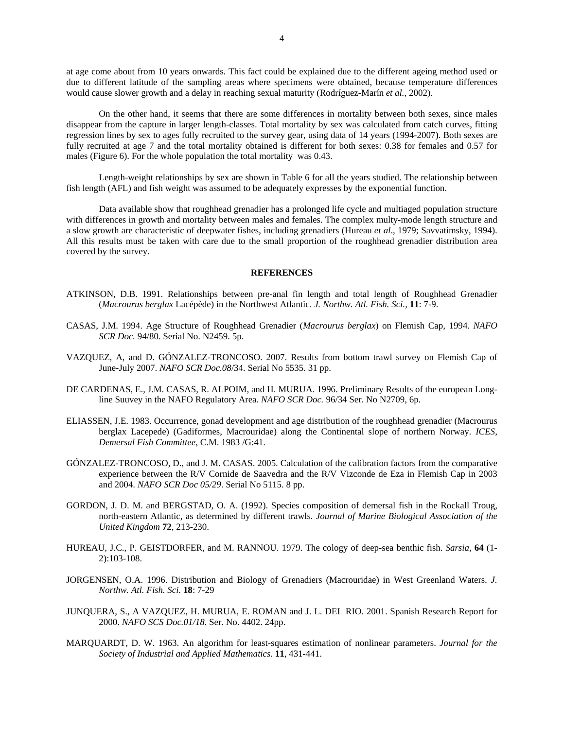at age come about from 10 years onwards. This fact could be explained due to the different ageing method used or due to different latitude of the sampling areas where specimens were obtained, because temperature differences would cause slower growth and a delay in reaching sexual maturity (Rodríguez-Marín *et al.*, 2002).

On the other hand, it seems that there are some differences in mortality between both sexes, since males disappear from the capture in larger length-classes. Total mortality by sex was calculated from catch curves, fitting regression lines by sex to ages fully recruited to the survey gear, using data of 14 years (1994-2007). Both sexes are fully recruited at age 7 and the total mortality obtained is different for both sexes: 0.38 for females and 0.57 for males (Figure 6). For the whole population the total mortality was 0.43.

Length-weight relationships by sex are shown in Table 6 for all the years studied. The relationship between fish length (AFL) and fish weight was assumed to be adequately expresses by the exponential function.

Data available show that roughhead grenadier has a prolonged life cycle and multiaged population structure with differences in growth and mortality between males and females. The complex multy-mode length structure and a slow growth are characteristic of deepwater fishes, including grenadiers (Hureau *et al*., 1979; Savvatimsky, 1994). All this results must be taken with care due to the small proportion of the roughhead grenadier distribution area covered by the survey.

#### **REFERENCES**

- ATKINSON, D.B. 1991. Relationships between pre-anal fin length and total length of Roughhead Grenadier (*Macrourus berglax* Lacépède) in the Northwest Atlantic. *J. Northw. Atl. Fish. Sci.,* **11**: 7-9.
- CASAS, J.M. 1994. Age Structure of Roughhead Grenadier (*Macrourus berglax*) on Flemish Cap, 1994. *NAFO SCR Doc.* 94/80. Serial No. N2459. 5p.
- VAZQUEZ, A, and D. GÓNZALEZ-TRONCOSO. 2007. Results from bottom trawl survey on Flemish Cap of June-July 2007. *NAFO SCR Doc.08*/34. Serial No 5535. 31 pp.
- DE CARDENAS, E., J.M. CASAS, R. ALPOIM, and H. MURUA. 1996. Preliminary Results of the european Longline Suuvey in the NAFO Regulatory Area. *NAFO SCR Doc.* 96/34 Ser. No N2709, 6p.
- ELIASSEN, J.E. 1983. Occurrence, gonad development and age distribution of the roughhead grenadier (Macrourus berglax Lacepede) (Gadiformes, Macrouridae) along the Continental slope of northern Norway. *ICES, Demersal Fish Committee*, C.M. 1983 /G:41.
- GÓNZALEZ-TRONCOSO, D., and J. M. CASAS. 2005. Calculation of the calibration factors from the comparative experience between the R/V Cornide de Saavedra and the R/V Vizconde de Eza in Flemish Cap in 2003 and 2004. *NAFO SCR Doc 05/29*. Serial No 5115. 8 pp.
- GORDON, J. D. M. and BERGSTAD, O. A. (1992). Species composition of demersal fish in the Rockall Troug, north-eastern Atlantic, as determined by different trawls. *Journal of Marine Biological Association of the United Kingdom* **72**, 213-230.
- HUREAU, J.C., P. GEISTDORFER, and M. RANNOU. 1979. The cology of deep-sea benthic fish. *Sarsia*, **64** (1- 2):103-108.
- JORGENSEN, O.A. 1996. Distribution and Biology of Grenadiers (Macrouridae) in West Greenland Waters. *J. Northw. Atl. Fish. Sci.* **18**: 7-29
- JUNQUERA, S., A VAZQUEZ, H. MURUA, E. ROMAN and J. L. DEL RIO. 2001. Spanish Research Report for 2000. *NAFO SCS Doc.01/18.* Ser. No. 4402. 24pp.
- MARQUARDT, D. W. 1963. An algorithm for least-squares estimation of nonlinear parameters. *Journal for the Society of Industrial and Applied Mathematics*. **11**, 431-441.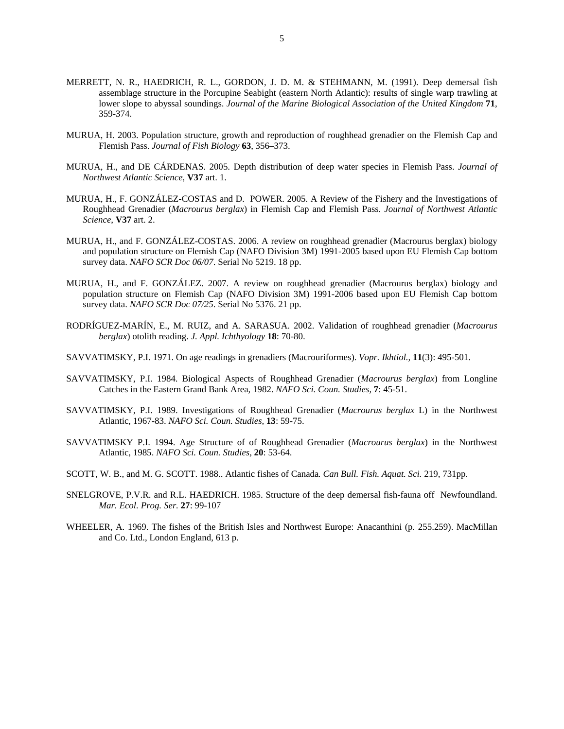- MERRETT, N. R., HAEDRICH, R. L., GORDON, J. D. M. & STEHMANN, M. (1991). Deep demersal fish assemblage structure in the Porcupine Seabight (eastern North Atlantic): results of single warp trawling at lower slope to abyssal soundings. *Journal of the Marine Biological Association of the United Kingdom* **71**, 359-374.
- MURUA, H. 2003. Population structure, growth and reproduction of roughhead grenadier on the Flemish Cap and Flemish Pass. *Journal of Fish Biology* **63**, 356–373.
- MURUA, H., and DE CÁRDENAS. 2005. Depth distribution of deep water species in Flemish Pass. *Journal of Northwest Atlantic Science*, **V37** art. 1.
- MURUA, H., F. GONZÁLEZ-COSTAS and D. POWER. 2005. A Review of the Fishery and the Investigations of Roughhead Grenadier (*Macrourus berglax*) in Flemish Cap and Flemish Pass. *Journal of Northwest Atlantic Science*, **V37** art. 2.
- MURUA, H., and F. GONZÁLEZ-COSTAS. 2006. A review on roughhead grenadier (Macrourus berglax) biology and population structure on Flemish Cap (NAFO Division 3M) 1991-2005 based upon EU Flemish Cap bottom survey data. *NAFO SCR Doc 06/07*. Serial No 5219. 18 pp.
- MURUA, H., and F. GONZÁLEZ. 2007. A review on roughhead grenadier (Macrourus berglax) biology and population structure on Flemish Cap (NAFO Division 3M) 1991-2006 based upon EU Flemish Cap bottom survey data. *NAFO SCR Doc 07/25*. Serial No 5376. 21 pp.
- RODRÍGUEZ-MARÍN, E., M. RUIZ, and A. SARASUA. 2002. Validation of roughhead grenadier (*Macrourus berglax*) otolith reading. *J. Appl. Ichthyology* **18**: 70-80.
- SAVVATIMSKY, P.I. 1971. On age readings in grenadiers (Macrouriformes). *Vopr. Ikhtiol.,* **11**(3): 495-501.
- SAVVATIMSKY, P.I. 1984. Biological Aspects of Roughhead Grenadier (*Macrourus berglax*) from Longline Catches in the Eastern Grand Bank Area, 1982. *NAFO Sci. Coun. Studies,* **7**: 45-51.
- SAVVATIMSKY, P.I. 1989. Investigations of Roughhead Grenadier (*Macrourus berglax* L) in the Northwest Atlantic, 1967-83. *NAFO Sci. Coun. Studies,* **13**: 59-75.
- SAVVATIMSKY P.I. 1994. Age Structure of of Roughhead Grenadier (*Macrourus berglax*) in the Northwest Atlantic, 1985. *NAFO Sci. Coun. Studies,* **20**: 53-64.
- SCOTT, W. B., and M. G. SCOTT. 1988.. Atlantic fishes of Canada*. Can Bull. Fish. Aquat. Sci.* 219, 731pp.
- SNELGROVE, P.V.R. and R.L. HAEDRICH. 1985. Structure of the deep demersal fish-fauna off Newfoundland. *Mar. Ecol. Prog. Ser.* **27**: 99-107
- WHEELER, A. 1969. The fishes of the British Isles and Northwest Europe: Anacanthini (p. 255.259). MacMillan and Co. Ltd., London England, 613 p.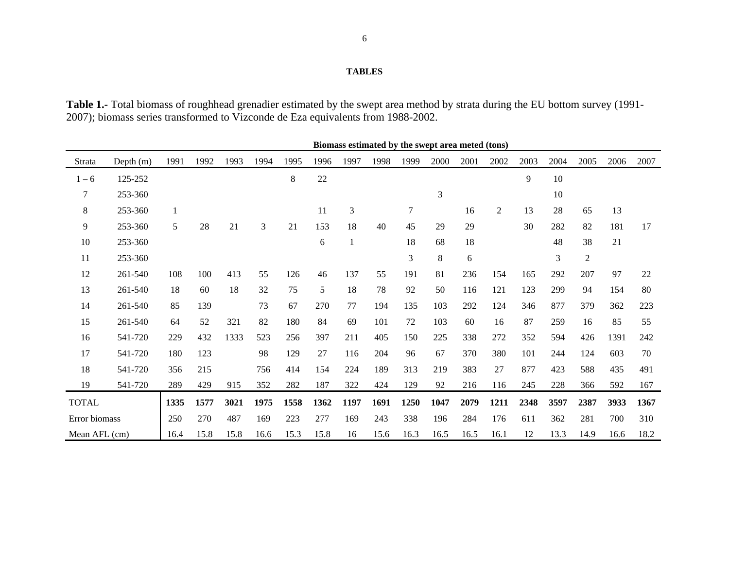#### **TABLES**

**Table 1.-** Total biomass of roughhead grenadier estimated by the swept area method by strata during the EU bottom survey (1991- 2007); biomass series transformed to Vizconde de Eza equivalents from 1988-2002.

|               |             |      |      |      |      |         |      |      |      |        | Biomass estimated by the swept area meted (tons) |      |                |      |      |                |      |      |
|---------------|-------------|------|------|------|------|---------|------|------|------|--------|--------------------------------------------------|------|----------------|------|------|----------------|------|------|
| Strata        | Depth $(m)$ | 1991 | 1992 | 1993 | 1994 | 1995    | 1996 | 1997 | 1998 | 1999   | 2000                                             | 2001 | 2002           | 2003 | 2004 | 2005           | 2006 | 2007 |
| $1 - 6$       | 125-252     |      |      |      |      | $\,8\,$ | 22   |      |      |        |                                                  |      |                | 9    | 10   |                |      |      |
| $\tau$        | 253-360     |      |      |      |      |         |      |      |      |        | 3                                                |      |                |      | 10   |                |      |      |
| $\,8\,$       | 253-360     | 1    |      |      |      |         | 11   | 3    |      | $\tau$ |                                                  | 16   | $\overline{2}$ | 13   | 28   | 65             | 13   |      |
| 9             | 253-360     | 5    | 28   | 21   | 3    | 21      | 153  | 18   | 40   | 45     | 29                                               | 29   |                | 30   | 282  | 82             | 181  | 17   |
| 10            | 253-360     |      |      |      |      |         | 6    | 1    |      | 18     | 68                                               | 18   |                |      | 48   | 38             | 21   |      |
| 11            | 253-360     |      |      |      |      |         |      |      |      | 3      | 8                                                | 6    |                |      | 3    | $\overline{2}$ |      |      |
| 12            | 261-540     | 108  | 100  | 413  | 55   | 126     | 46   | 137  | 55   | 191    | 81                                               | 236  | 154            | 165  | 292  | 207            | 97   | 22   |
| 13            | 261-540     | 18   | 60   | 18   | 32   | 75      | 5    | 18   | 78   | 92     | 50                                               | 116  | 121            | 123  | 299  | 94             | 154  | 80   |
| 14            | 261-540     | 85   | 139  |      | 73   | 67      | 270  | 77   | 194  | 135    | 103                                              | 292  | 124            | 346  | 877  | 379            | 362  | 223  |
| 15            | 261-540     | 64   | 52   | 321  | 82   | 180     | 84   | 69   | 101  | 72     | 103                                              | 60   | 16             | 87   | 259  | 16             | 85   | 55   |
| 16            | 541-720     | 229  | 432  | 1333 | 523  | 256     | 397  | 211  | 405  | 150    | 225                                              | 338  | 272            | 352  | 594  | 426            | 1391 | 242  |
| 17            | 541-720     | 180  | 123  |      | 98   | 129     | 27   | 116  | 204  | 96     | 67                                               | 370  | 380            | 101  | 244  | 124            | 603  | 70   |
| 18            | 541-720     | 356  | 215  |      | 756  | 414     | 154  | 224  | 189  | 313    | 219                                              | 383  | 27             | 877  | 423  | 588            | 435  | 491  |
| 19            | 541-720     | 289  | 429  | 915  | 352  | 282     | 187  | 322  | 424  | 129    | 92                                               | 216  | 116            | 245  | 228  | 366            | 592  | 167  |
| <b>TOTAL</b>  |             | 1335 | 1577 | 3021 | 1975 | 1558    | 1362 | 1197 | 1691 | 1250   | 1047                                             | 2079 | 1211           | 2348 | 3597 | 2387           | 3933 | 1367 |
| Error biomass |             | 250  | 270  | 487  | 169  | 223     | 277  | 169  | 243  | 338    | 196                                              | 284  | 176            | 611  | 362  | 281            | 700  | 310  |
| Mean AFL (cm) |             | 16.4 | 15.8 | 15.8 | 16.6 | 15.3    | 15.8 | 16   | 15.6 | 16.3   | 16.5                                             | 16.5 | 16.1           | 12   | 13.3 | 14.9           | 16.6 | 18.2 |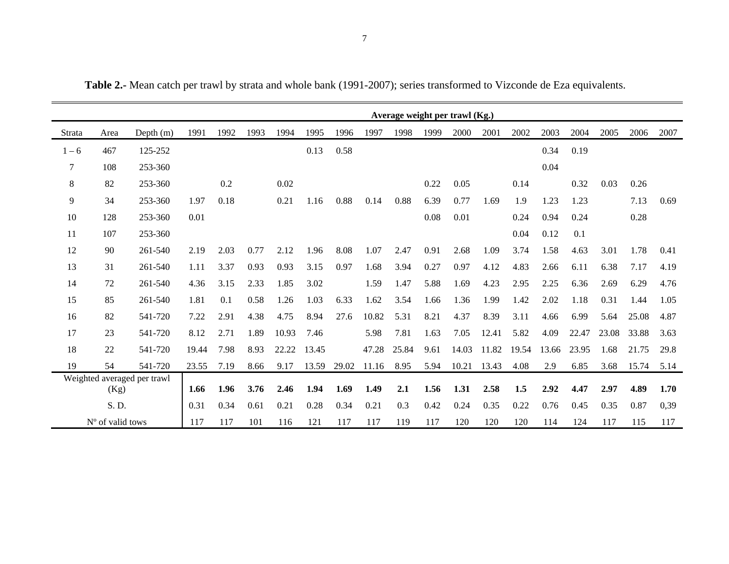|         |                  |                             |       |      |      |       |       |       |       |       |          | Average weight per trawl (Kg.) |       |       |       |       |       |       |      |
|---------|------------------|-----------------------------|-------|------|------|-------|-------|-------|-------|-------|----------|--------------------------------|-------|-------|-------|-------|-------|-------|------|
| Strata  | Area             | Depth $(m)$                 | 1991  | 1992 | 1993 | 1994  | 1995  | 1996  | 1997  | 1998  | 1999     | 2000                           | 2001  | 2002  | 2003  | 2004  | 2005  | 2006  | 2007 |
| $1 - 6$ | 467              | 125-252                     |       |      |      |       | 0.13  | 0.58  |       |       |          |                                |       |       | 0.34  | 0.19  |       |       |      |
| 7       | 108              | 253-360                     |       |      |      |       |       |       |       |       |          |                                |       |       | 0.04  |       |       |       |      |
| 8       | 82               | 253-360                     |       | 0.2  |      | 0.02  |       |       |       |       | 0.22     | 0.05                           |       | 0.14  |       | 0.32  | 0.03  | 0.26  |      |
| 9       | 34               | 253-360                     | 1.97  | 0.18 |      | 0.21  | 1.16  | 0.88  | 0.14  | 0.88  | 6.39     | 0.77                           | 1.69  | 1.9   | 1.23  | 1.23  |       | 7.13  | 0.69 |
| 10      | 128              | 253-360                     | 0.01  |      |      |       |       |       |       |       | $0.08\,$ | 0.01                           |       | 0.24  | 0.94  | 0.24  |       | 0.28  |      |
| 11      | 107              | 253-360                     |       |      |      |       |       |       |       |       |          |                                |       | 0.04  | 0.12  | 0.1   |       |       |      |
| 12      | 90               | 261-540                     | 2.19  | 2.03 | 0.77 | 2.12  | 1.96  | 8.08  | 1.07  | 2.47  | 0.91     | 2.68                           | 1.09  | 3.74  | 1.58  | 4.63  | 3.01  | 1.78  | 0.41 |
| 13      | 31               | 261-540                     | 1.11  | 3.37 | 0.93 | 0.93  | 3.15  | 0.97  | 1.68  | 3.94  | 0.27     | 0.97                           | 4.12  | 4.83  | 2.66  | 6.11  | 6.38  | 7.17  | 4.19 |
| 14      | 72               | 261-540                     | 4.36  | 3.15 | 2.33 | 1.85  | 3.02  |       | 1.59  | 1.47  | 5.88     | 1.69                           | 4.23  | 2.95  | 2.25  | 6.36  | 2.69  | 6.29  | 4.76 |
| 15      | 85               | 261-540                     | 1.81  | 0.1  | 0.58 | 1.26  | 1.03  | 6.33  | 1.62  | 3.54  | 1.66     | 1.36                           | 1.99  | 1.42  | 2.02  | 1.18  | 0.31  | 1.44  | 1.05 |
| 16      | 82               | 541-720                     | 7.22  | 2.91 | 4.38 | 4.75  | 8.94  | 27.6  | 10.82 | 5.31  | 8.21     | 4.37                           | 8.39  | 3.11  | 4.66  | 6.99  | 5.64  | 25.08 | 4.87 |
| 17      | 23               | 541-720                     | 8.12  | 2.71 | 1.89 | 10.93 | 7.46  |       | 5.98  | 7.81  | 1.63     | 7.05                           | 12.41 | 5.82  | 4.09  | 22.47 | 23.08 | 33.88 | 3.63 |
| 18      | 22               | 541-720                     | 19.44 | 7.98 | 8.93 | 22.22 | 13.45 |       | 47.28 | 25.84 | 9.61     | 14.03                          | 11.82 | 19.54 | 13.66 | 23.95 | 1.68  | 21.75 | 29.8 |
| 19      | 54               | 541-720                     | 23.55 | 7.19 | 8.66 | 9.17  | 13.59 | 29.02 | 11.16 | 8.95  | 5.94     | 10.21                          | 13.43 | 4.08  | 2.9   | 6.85  | 3.68  | 15.74 | 5.14 |
|         | (Kg)             | Weighted averaged per trawl | 1.66  | 1.96 | 3.76 | 2.46  | 1.94  | 1.69  | 1.49  | 2.1   | 1.56     | 1.31                           | 2.58  | 1.5   | 2.92  | 4.47  | 2.97  | 4.89  | 1.70 |
|         | S. D.            |                             | 0.31  | 0.34 | 0.61 | 0.21  | 0.28  | 0.34  | 0.21  | 0.3   | 0.42     | 0.24                           | 0.35  | 0.22  | 0.76  | 0.45  | 0.35  | 0.87  | 0,39 |
|         | N° of valid tows |                             | 117   | 117  | 101  | 116   | 121   | 117   | 117   | 119   | 117      | 120                            | 120   | 120   | 114   | 124   | 117   | 115   | 117  |

**Table 2.-** Mean catch per trawl by strata and whole bank (1991-2007); series transformed to Vizconde de Eza equivalents.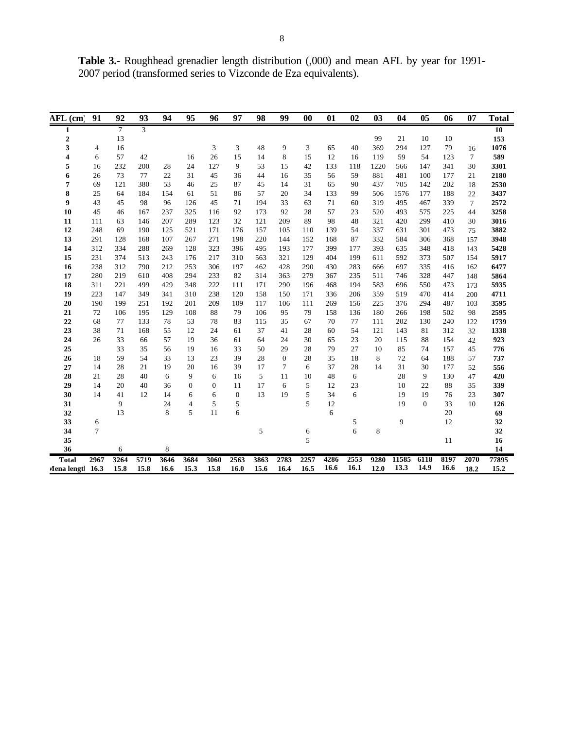**Table 3.-** Roughhead grenadier length distribution (,000) and mean AFL by year for 1991- 2007 period (transformed series to Vizconde de Eza equivalents).

| AFL (cm          | 91              | 92              | 93             | 94   | 95               | 96           | 97           | 98     | 99           | $\bf{00}$ | 01   | 02   | 0 <sub>3</sub> | 04    | 05           | 06   | 07     | <b>Total</b> |
|------------------|-----------------|-----------------|----------------|------|------------------|--------------|--------------|--------|--------------|-----------|------|------|----------------|-------|--------------|------|--------|--------------|
| 1                |                 | $7\phantom{.0}$ | $\overline{3}$ |      |                  |              |              |        |              |           |      |      |                |       |              |      |        | 10           |
| $\boldsymbol{2}$ |                 | 13              |                |      |                  |              |              |        |              |           |      |      | 99             | 21    | 10           | 10   |        | 153          |
| 3                | $\overline{4}$  | 16              |                |      |                  | 3            | 3            | 48     | 9            | 3         | 65   | 40   | 369            | 294   | 127          | 79   | 16     | 1076         |
| 4                | 6               | 57              | 42             |      | 16               | 26           | 15           | 14     | 8            | 15        | 12   | 16   | 119            | 59    | 54           | 123  | $\tau$ | 589          |
| 5                | 16              | 232             | 200            | 28   | 24               | 127          | 9            | 53     | 15           | 42        | 133  | 118  | 1220           | 566   | 147          | 341  | 30     | 3301         |
| 6                | 26              | 73              | 77             | 22   | 31               | 45           | 36           | 44     | 16           | 35        | 56   | 59   | 881            | 481   | 100          | 177  | 21     | 2180         |
| 7                | 69              | 121             | 380            | 53   | 46               | 25           | 87           | $45\,$ | 14           | 31        | 65   | 90   | 437            | 705   | 142          | 202  | 18     | 2530         |
| 8                | 25              | 64              | 184            | 154  | 61               | 51           | 86           | 57     | 20           | 34        | 133  | 99   | 506            | 1576  | 177          | 188  | 22     | 3437         |
| 9                | 43              | 45              | 98             | 96   | 126              | 45           | 71           | 194    | 33           | 63        | 71   | 60   | 319            | 495   | 467          | 339  | $\tau$ | 2572         |
| 10               | 45              | 46              | 167            | 237  | 325              | 116          | 92           | 173    | 92           | 28        | 57   | 23   | 520            | 493   | 575          | 225  | 44     | 3258         |
| 11               | 111             | 63              | 146            | 207  | 289              | 123          | 32           | 121    | 209          | 89        | 98   | 48   | 321            | 420   | 299          | 410  | 30     | 3016         |
| 12               | 248             | 69              | 190            | 125  | 521              | 171          | 176          | 157    | 105          | 110       | 139  | 54   | 337            | 631   | 301          | 473  | 75     | 3882         |
| 13               | 291             | 128             | 168            | 107  | 267              | 271          | 198          | 220    | 144          | 152       | 168  | 87   | 332            | 584   | 306          | 368  | 157    | 3948         |
| 14               | 312             | 334             | 288            | 269  | 128              | 323          | 396          | 495    | 193          | 177       | 399  | 177  | 393            | 635   | 348          | 418  | 143    | 5428         |
| 15               | 231             | 374             | 513            | 243  | 176              | 217          | 310          | 563    | 321          | 129       | 404  | 199  | 611            | 592   | 373          | 507  | 154    | 5917         |
| 16               | 238             | 312             | 790            | 212  | 253              | 306          | 197          | 462    | 428          | 290       | 430  | 283  | 666            | 697   | 335          | 416  | 162    | 6477         |
| 17               | 280             | 219             | 610            | 408  | 294              | 233          | 82           | 314    | 363          | 279       | 367  | 235  | 511            | 746   | 328          | 447  | 148    | 5864         |
| 18               | 311             | 221             | 499            | 429  | 348              | 222          | 111          | 171    | 290          | 196       | 468  | 194  | 583            | 696   | 550          | 473  | 173    | 5935         |
| 19               | 223             | 147             | 349            | 341  | 310              | 238          | 120          | 158    | 150          | 171       | 336  | 206  | 359            | 519   | 470          | 414  | 200    | 4711         |
| 20               | 190             | 199             | 251            | 192  | 201              | 209          | 109          | 117    | 106          | 111       | 269  | 156  | 225            | 376   | 294          | 487  | 103    | 3595         |
| 21               | 72              | 106             | 195            | 129  | 108              | 88           | 79           | 106    | 95           | 79        | 158  | 136  | 180            | 266   | 198          | 502  | 98     | 2595         |
| 22               | 68              | 77              | 133            | 78   | 53               | 78           | 83           | 115    | 35           | 67        | 70   | 77   | 111            | 202   | 130          | 240  | 122    | 1739         |
| 23               | 38              | 71              | 168            | 55   | 12               | 24           | 61           | 37     | 41           | 28        | 60   | 54   | 121            | 143   | 81           | 312  | 32     | 1338         |
| 24               | 26              | 33              | 66             | 57   | 19               | 36           | 61           | 64     | 24           | 30        | 65   | 23   | 20             | 115   | 88           | 154  | 42     | 923          |
| 25               |                 | 33              | 35             | 56   | 19               | 16           | 33           | 50     | 29           | 28        | 79   | 27   | 10             | 85    | 74           | 157  | 45     | 776          |
| 26               | 18              | 59              | 54             | 33   | 13               | 23           | 39           | 28     | $\mathbf{0}$ | 28        | 35   | 18   | 8              | 72    | 64           | 188  | 57     | 737          |
| 27               | 14              | 28              | 21             | 19   | 20               | 16           | 39           | 17     | 7            | 6         | 37   | 28   | 14             | 31    | 30           | 177  | 52     | 556          |
| 28               | 21              | 28              | 40             | 6    | 9                | 6            | 16           | 5      | 11           | 10        | 48   | 6    |                | 28    | 9            | 130  | 47     | 420          |
| 29               | 14              | 20              | 40             | 36   | $\boldsymbol{0}$ | $\mathbf{0}$ | 11           | 17     | 6            | 5         | 12   | 23   |                | 10    | 22           | 88   | 35     | 339          |
| 30               | 14              | 41              | 12             | 14   | 6                | 6            | $\mathbf{0}$ | 13     | 19           | 5         | 34   | 6    |                | 19    | 19           | 76   | 23     | 307          |
| 31               |                 | 9               |                | 24   | 4                | 5            | 5            |        |              | 5         | 12   |      |                | 19    | $\mathbf{0}$ | 33   | 10     | 126          |
| 32               |                 | 13              |                | 8    | 5                | 11           | 6            |        |              |           | 6    |      |                |       |              | 20   |        | 69           |
| 33               | 6               |                 |                |      |                  |              |              |        |              |           |      | 5    |                | 9     |              | 12   |        | 32           |
| 34               | $7\phantom{.0}$ |                 |                |      |                  |              |              | 5      |              | 6         |      | 6    | 8              |       |              |      |        | 32           |
| 35               |                 |                 |                |      |                  |              |              |        |              | 5         |      |      |                |       |              | 11   |        | 16           |
| 36               |                 | 6               |                | 8    |                  |              |              |        |              |           |      |      |                |       |              |      |        | 14           |
| <b>Total</b>     | 2967            | 3264            | 5719           | 3646 | 3684             | 3060         | 2563         | 3863   | 2783         | 2257      | 4286 | 2553 | 9280           | 11585 | 6118         | 8197 | 2070   | 77895        |
| Mena lengtl 16.3 |                 | 15.8            | 15.8           | 16.6 | 15.3             | 15.8         | 16.0         | 15.6   | 16.4         | 16.5      | 16.6 | 16.1 | 12.0           | 13.3  | 14.9         | 16.6 | 18.2   | 15.2         |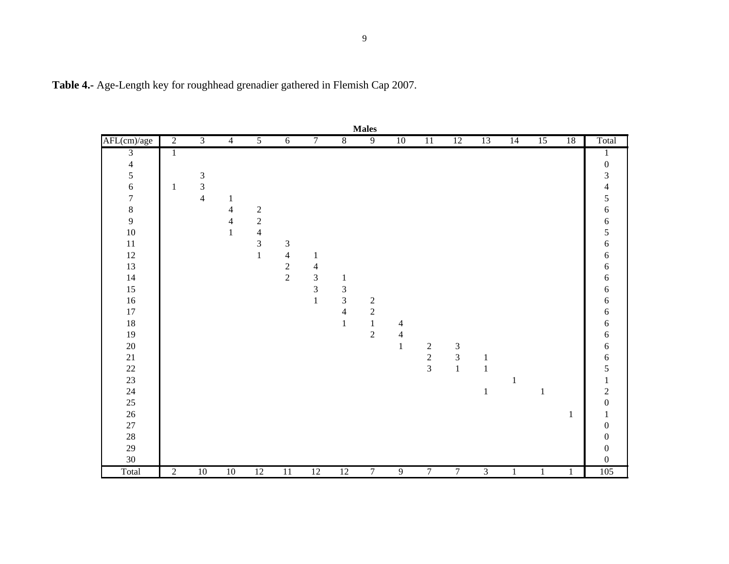| <b>Males</b>             |                |                                            |                |                                            |                             |                         |                         |                |                |                                            |                |                |              |                 |              |                         |
|--------------------------|----------------|--------------------------------------------|----------------|--------------------------------------------|-----------------------------|-------------------------|-------------------------|----------------|----------------|--------------------------------------------|----------------|----------------|--------------|-----------------|--------------|-------------------------|
| AFL(cm)/age              | $\overline{2}$ | $\overline{3}$                             | $\overline{4}$ | $\overline{5}$                             | $\overline{6}$              | 7                       | 8                       | $\overline{9}$ | 10             | 11                                         | 12             | 13             | 14           | $\overline{15}$ | 18           | Total                   |
| $\mathfrak{Z}$           | $\mathbf{1}$   |                                            |                |                                            |                             |                         |                         |                |                |                                            |                |                |              |                 |              | 1                       |
| $\overline{\mathcal{L}}$ |                |                                            |                |                                            |                             |                         |                         |                |                |                                            |                |                |              |                 |              | $\boldsymbol{0}$        |
| 5                        |                |                                            |                |                                            |                             |                         |                         |                |                |                                            |                |                |              |                 |              | $\mathfrak{Z}$          |
| $\overline{6}$           | $\mathbf{1}$   | $\begin{array}{c} 3 \\ 3 \\ 4 \end{array}$ |                |                                            |                             |                         |                         |                |                |                                            |                |                |              |                 |              | $\overline{\mathbf{4}}$ |
| $\overline{7}$           |                |                                            | $\mathbf{1}$   |                                            |                             |                         |                         |                |                |                                            |                |                |              |                 |              | 5                       |
| $\bf{8}$                 |                |                                            | $\overline{4}$ |                                            |                             |                         |                         |                |                |                                            |                |                |              |                 |              | $\sqrt{6}$              |
| $\overline{9}$           |                |                                            | $\overline{4}$ | $\begin{array}{c} 2 \\ 2 \\ 4 \end{array}$ |                             |                         |                         |                |                |                                            |                |                |              |                 |              | 6                       |
| 10                       |                |                                            | $\,1$          |                                            |                             |                         |                         |                |                |                                            |                |                |              |                 |              | 5                       |
| $11\,$                   |                |                                            |                | $\overline{3}$                             | $\ensuremath{\mathfrak{Z}}$ |                         |                         |                |                |                                            |                |                |              |                 |              | $\sqrt{6}$              |
| 12                       |                |                                            |                | $\mathbf 1$                                | $\overline{4}$              | $\mathbf{1}$            |                         |                |                |                                            |                |                |              |                 |              | $\sqrt{6}$              |
| 13                       |                |                                            |                |                                            | $\overline{c}$              | $\overline{4}$          |                         |                |                |                                            |                |                |              |                 |              | $\sqrt{6}$              |
| 14                       |                |                                            |                |                                            | $\overline{2}$              | $\overline{\mathbf{3}}$ | $\mathbf{1}$            |                |                |                                            |                |                |              |                 |              | $\sqrt{6}$              |
| 15                       |                |                                            |                |                                            |                             | $\overline{\mathbf{3}}$ | $\sqrt{3}$              |                |                |                                            |                |                |              |                 |              | 6                       |
| 16                       |                |                                            |                |                                            |                             | $\mathbf{1}$            | $\overline{\mathbf{3}}$ | $\frac{2}{2}$  |                |                                            |                |                |              |                 |              | $\sqrt{6}$              |
| 17                       |                |                                            |                |                                            |                             |                         | $\overline{4}$          |                |                |                                            |                |                |              |                 |              | 6                       |
| 18                       |                |                                            |                |                                            |                             |                         | $\mathbf{1}$            | $\mathbf{1}$   | $\overline{4}$ |                                            |                |                |              |                 |              | $\sqrt{6}$              |
| 19                       |                |                                            |                |                                            |                             |                         |                         | $\overline{2}$ | $\overline{4}$ |                                            |                |                |              |                 |              | $\sqrt{6}$              |
| $20\,$                   |                |                                            |                |                                            |                             |                         |                         |                | $\,1\,$        |                                            | $\mathfrak{Z}$ |                |              |                 |              | $\sqrt{6}$              |
| 21                       |                |                                            |                |                                            |                             |                         |                         |                |                | $\begin{array}{c} 2 \\ 2 \\ 3 \end{array}$ | $\overline{3}$ | 1              |              |                 |              | $\sqrt{6}$              |
| $22\,$                   |                |                                            |                |                                            |                             |                         |                         |                |                |                                            | $\mathbf{1}$   | $\mathbf 1$    |              |                 |              | 5                       |
| 23                       |                |                                            |                |                                            |                             |                         |                         |                |                |                                            |                |                | $\mathbf{1}$ |                 |              | $\,1$                   |
| 24                       |                |                                            |                |                                            |                             |                         |                         |                |                |                                            |                | $\,1\,$        |              | 1               |              | $\overline{c}$          |
| $25\,$                   |                |                                            |                |                                            |                             |                         |                         |                |                |                                            |                |                |              |                 |              | $\boldsymbol{0}$        |
| 26                       |                |                                            |                |                                            |                             |                         |                         |                |                |                                            |                |                |              |                 | $\mathbf{1}$ | $\mathbf 1$             |
| 27                       |                |                                            |                |                                            |                             |                         |                         |                |                |                                            |                |                |              |                 |              | $\boldsymbol{0}$        |
| $28\,$                   |                |                                            |                |                                            |                             |                         |                         |                |                |                                            |                |                |              |                 |              | $\boldsymbol{0}$        |
| 29                       |                |                                            |                |                                            |                             |                         |                         |                |                |                                            |                |                |              |                 |              | $\boldsymbol{0}$        |
| 30                       |                |                                            |                |                                            |                             |                         |                         |                |                |                                            |                |                |              |                 |              | $\boldsymbol{0}$        |
| Total                    | $\overline{2}$ | 10                                         | 10             | 12                                         | $\overline{11}$             | 12                      | 12                      | 7              | $\overline{9}$ | 7                                          | 7              | $\overline{3}$ | 1            | $\mathbf{1}$    | 1            | 105                     |

**Table 4.-** Age-Length key for roughhead grenadier gathered in Flemish Cap 2007.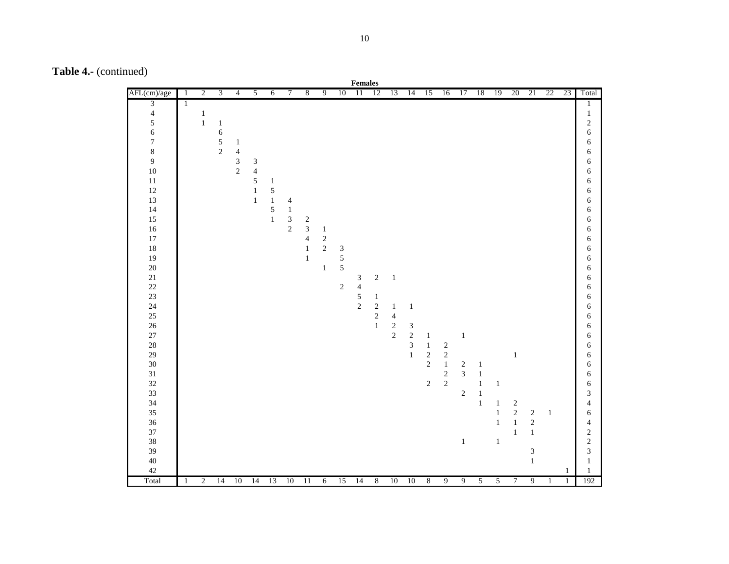**Table 4.-** (continued)

|                  |                |                |                |                |                |                |                |                         |              |                | Females         |                  |                |                |                |                |                |                |                |                |                             |              |              |                         |
|------------------|----------------|----------------|----------------|----------------|----------------|----------------|----------------|-------------------------|--------------|----------------|-----------------|------------------|----------------|----------------|----------------|----------------|----------------|----------------|----------------|----------------|-----------------------------|--------------|--------------|-------------------------|
| AFL(cm)/age      | $\overline{1}$ | $\overline{2}$ | $\overline{3}$ | $\overline{4}$ | $\overline{5}$ | $\overline{6}$ | $\overline{7}$ | $\sqrt{8}$              | 9            | 10             | $\overline{11}$ | <sup>12</sup>    | 13             | 14             | 15             | 16             | 17             | 18             | 19             | 20             | 21                          | 22           | 23           | Total                   |
| $\overline{3}$   | $\mathbf{1}$   |                |                |                |                |                |                |                         |              |                |                 |                  |                |                |                |                |                |                |                |                |                             |              |              | 1                       |
| $\overline{4}$   |                | $\mathbf{1}$   |                |                |                |                |                |                         |              |                |                 |                  |                |                |                |                |                |                |                |                |                             |              |              | $\mathbf{1}$            |
| 5                |                | $\mathbf{1}$   | $\mathbf{1}$   |                |                |                |                |                         |              |                |                 |                  |                |                |                |                |                |                |                |                |                             |              |              | $\sqrt{2}$              |
| $\epsilon$       |                |                | $\epsilon$     |                |                |                |                |                         |              |                |                 |                  |                |                |                |                |                |                |                |                |                             |              |              | $\epsilon$              |
| $\boldsymbol{7}$ |                |                | $\frac{5}{2}$  | $\mathbf{1}$   |                |                |                |                         |              |                |                 |                  |                |                |                |                |                |                |                |                |                             |              |              | $\epsilon$              |
| $\,8\,$          |                |                |                | $\overline{4}$ |                |                |                |                         |              |                |                 |                  |                |                |                |                |                |                |                |                |                             |              |              | 6                       |
| 9                |                |                |                | $\frac{3}{2}$  | $\sqrt{3}$     |                |                |                         |              |                |                 |                  |                |                |                |                |                |                |                |                |                             |              |              | 6                       |
| 10               |                |                |                |                | $\overline{4}$ |                |                |                         |              |                |                 |                  |                |                |                |                |                |                |                |                |                             |              |              | 6                       |
| $11\,$           |                |                |                |                | $\mathfrak{S}$ | $\mathbf{1}$   |                |                         |              |                |                 |                  |                |                |                |                |                |                |                |                |                             |              |              | $\epsilon$              |
| 12               |                |                |                |                | $\,1\,$        | $\sqrt{5}$     |                |                         |              |                |                 |                  |                |                |                |                |                |                |                |                |                             |              |              | $\epsilon$              |
| 13               |                |                |                |                | $\mathbf{1}$   | $\,1$          | $\overline{4}$ |                         |              |                |                 |                  |                |                |                |                |                |                |                |                |                             |              |              | 6                       |
| 14               |                |                |                |                |                | $\sqrt{5}$     | $\,1\,$        |                         |              |                |                 |                  |                |                |                |                |                |                |                |                |                             |              |              | $\epsilon$              |
| 15               |                |                |                |                |                | $\mathbbm{1}$  | $\mathfrak{Z}$ | $\sqrt{2}$              |              |                |                 |                  |                |                |                |                |                |                |                |                |                             |              |              | $\epsilon$              |
| 16               |                |                |                |                |                |                | $\sqrt{2}$     | $\overline{3}$          | $\mathbf{1}$ |                |                 |                  |                |                |                |                |                |                |                |                |                             |              |              | $\epsilon$              |
| 17               |                |                |                |                |                |                |                | $\overline{\mathbf{4}}$ | $\sqrt{2}$   |                |                 |                  |                |                |                |                |                |                |                |                |                             |              |              | 6                       |
| 18               |                |                |                |                |                |                |                | $\mathbf{1}$            | $\sqrt{2}$   | $\mathfrak{Z}$ |                 |                  |                |                |                |                |                |                |                |                |                             |              |              | 6                       |
| 19               |                |                |                |                |                |                |                | $\mathbf{1}$            |              | $\mathfrak{S}$ |                 |                  |                |                |                |                |                |                |                |                |                             |              |              | 6                       |
| 20               |                |                |                |                |                |                |                |                         | $\mathbf{1}$ | $\sqrt{5}$     |                 |                  |                |                |                |                |                |                |                |                |                             |              |              | 6                       |
| $21\,$           |                |                |                |                |                |                |                |                         |              |                | $\mathfrak{Z}$  | $\sqrt{2}$       | $\,1\,$        |                |                |                |                |                |                |                |                             |              |              | $\epsilon$              |
| $22\,$           |                |                |                |                |                |                |                |                         |              | $\sqrt{2}$     | $\overline{4}$  |                  |                |                |                |                |                |                |                |                |                             |              |              | $\epsilon$              |
| $23\,$           |                |                |                |                |                |                |                |                         |              |                | $\frac{5}{2}$   | $\mathbf{1}$     |                |                |                |                |                |                |                |                |                             |              |              | 6                       |
| $24\,$           |                |                |                |                |                |                |                |                         |              |                |                 | $\sqrt{2}$       | $\mathbf{1}$   | $\,1\,$        |                |                |                |                |                |                |                             |              |              | $\epsilon$              |
| 25               |                |                |                |                |                |                |                |                         |              |                |                 | $\sqrt{2}$       | $\overline{4}$ |                |                |                |                |                |                |                |                             |              |              | $\epsilon$              |
| 26               |                |                |                |                |                |                |                |                         |              |                |                 | $\,1$            | $\sqrt{2}$     | $\sqrt{3}$     |                |                |                |                |                |                |                             |              |              | 6                       |
| $27\,$           |                |                |                |                |                |                |                |                         |              |                |                 |                  | $\sqrt{2}$     | $\sqrt{2}$     | $\mathbf{1}$   |                | $\mathbf{1}$   |                |                |                |                             |              |              | 6                       |
| 28               |                |                |                |                |                |                |                |                         |              |                |                 |                  |                | $\mathfrak{Z}$ | $\mathbf{1}$   | $\sqrt{2}$     |                |                |                |                |                             |              |              | $\epsilon$              |
| 29               |                |                |                |                |                |                |                |                         |              |                |                 |                  |                | $\,1\,$        | $\sqrt{2}$     | $\sqrt{2}$     |                |                |                | $1\,$          |                             |              |              | $\epsilon$              |
| 30               |                |                |                |                |                |                |                |                         |              |                |                 |                  |                |                | $\overline{2}$ | $\mathbf{1}$   | $\sqrt{2}$     | $\mathbf{1}$   |                |                |                             |              |              | 6                       |
| $31\,$           |                |                |                |                |                |                |                |                         |              |                |                 |                  |                |                |                | $\sqrt{2}$     | $\mathfrak{Z}$ | $\,1\,$        |                |                |                             |              |              | $\epsilon$              |
| 32               |                |                |                |                |                |                |                |                         |              |                |                 |                  |                |                | $\sqrt{2}$     | $\sqrt{2}$     |                | $\,1\,$        | $\mathbf{1}$   |                |                             |              |              | $\epsilon$              |
| 33               |                |                |                |                |                |                |                |                         |              |                |                 |                  |                |                |                |                | $\sqrt{2}$     | $\,1\,$        |                |                |                             |              |              | $\overline{3}$          |
| 34               |                |                |                |                |                |                |                |                         |              |                |                 |                  |                |                |                |                |                | $\mathbf{1}$   | $\mathbf{1}$   | $\sqrt{2}$     |                             |              |              | $\overline{4}$          |
| 35               |                |                |                |                |                |                |                |                         |              |                |                 |                  |                |                |                |                |                |                | $\mathbf{1}$   | $\overline{2}$ | $\sqrt{2}$                  | $\mathbf{1}$ |              | 6                       |
| 36               |                |                |                |                |                |                |                |                         |              |                |                 |                  |                |                |                |                |                |                | $\mathbf{1}$   | $1\,$          | $\sqrt{2}$                  |              |              | $\overline{4}$          |
| 37               |                |                |                |                |                |                |                |                         |              |                |                 |                  |                |                |                |                |                |                |                | $1\,$          | $\,1\,$                     |              |              | $\sqrt{2}$              |
| 38               |                |                |                |                |                |                |                |                         |              |                |                 |                  |                |                |                |                | $\mathbf{1}$   |                | $\mathbf{1}$   |                |                             |              |              | $\overline{c}$          |
| 39               |                |                |                |                |                |                |                |                         |              |                |                 |                  |                |                |                |                |                |                |                |                | $\ensuremath{\mathfrak{Z}}$ |              |              | $\overline{\mathbf{3}}$ |
| 40               |                |                |                |                |                |                |                |                         |              |                |                 |                  |                |                |                |                |                |                |                |                | $\mathbf{1}$                |              |              | $\mathbf{1}$            |
| 42               |                |                |                |                |                |                |                |                         |              |                |                 |                  |                |                |                |                |                |                |                |                |                             |              | $\mathbf{1}$ | 1                       |
| Total            | 1              | $\overline{c}$ | 14             | 10             | 14             | 13             | 10             | 11                      | 6            | 15             | 14              | $\boldsymbol{8}$ | 10             | 10             | $\overline{8}$ | $\overline{9}$ | $\overline{9}$ | $\overline{5}$ | $\overline{5}$ | $\overline{7}$ | $\overline{9}$              | $\mathbf{1}$ | $\mathbf{1}$ | 192                     |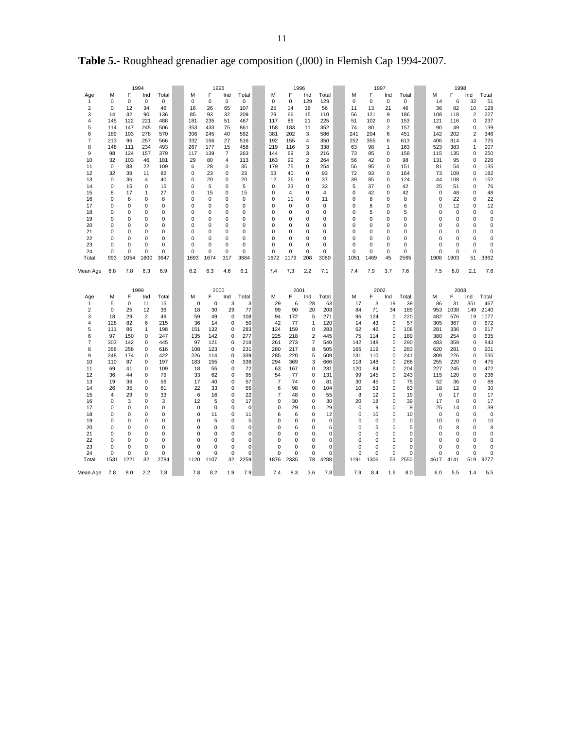|                                                                                                                                                                |                                                                                                                                                            |                                                                                                                                                    | 1994                                                                                                                                                             |                                                                                                                                                             |                                                                                                                                                                      | 1995                                                                                                                                                             |                                                                                                                                                                                                                  |                                                                                                                                                            |                                                                                                                                                                    | 1996                                                                                                                                                  |                                                                                                                                                    |                                                                                                                                                                                      |                                                                                                                                                                    | 1997                                                                                                                                                            |                                                                                                                                                                              |                                                                                                                                                       |                                                                                                                                                  | 1998                                                                                                                                                        |                                                                                                                                            |                                                                                                                                                       |
|----------------------------------------------------------------------------------------------------------------------------------------------------------------|------------------------------------------------------------------------------------------------------------------------------------------------------------|----------------------------------------------------------------------------------------------------------------------------------------------------|------------------------------------------------------------------------------------------------------------------------------------------------------------------|-------------------------------------------------------------------------------------------------------------------------------------------------------------|----------------------------------------------------------------------------------------------------------------------------------------------------------------------|------------------------------------------------------------------------------------------------------------------------------------------------------------------|------------------------------------------------------------------------------------------------------------------------------------------------------------------------------------------------------------------|------------------------------------------------------------------------------------------------------------------------------------------------------------|--------------------------------------------------------------------------------------------------------------------------------------------------------------------|-------------------------------------------------------------------------------------------------------------------------------------------------------|----------------------------------------------------------------------------------------------------------------------------------------------------|--------------------------------------------------------------------------------------------------------------------------------------------------------------------------------------|--------------------------------------------------------------------------------------------------------------------------------------------------------------------|-----------------------------------------------------------------------------------------------------------------------------------------------------------------|------------------------------------------------------------------------------------------------------------------------------------------------------------------------------|-------------------------------------------------------------------------------------------------------------------------------------------------------|--------------------------------------------------------------------------------------------------------------------------------------------------|-------------------------------------------------------------------------------------------------------------------------------------------------------------|--------------------------------------------------------------------------------------------------------------------------------------------|-------------------------------------------------------------------------------------------------------------------------------------------------------|
| Age<br>1<br>$\overline{2}$<br>3<br>4<br>5<br>6<br>$\overline{7}$<br>8<br>9<br>10<br>11<br>12<br>13<br>14<br>15<br>16<br>17<br>18<br>19<br>20<br>21<br>22<br>23 | М<br>$\Omega$<br>0<br>14<br>145<br>114<br>189<br>213<br>148<br>98<br>32<br>$\mathbf 0$<br>32<br>0<br>0<br>8<br>0<br>$\Omega$<br>0<br>0<br>0<br>0<br>0<br>0 | F<br>$\mathbf 0$<br>12<br>32<br>122<br>147<br>103<br>96<br>111<br>124<br>103<br>88<br>39<br>36<br>15<br>17<br>8<br>0<br>0<br>0<br>0<br>0<br>0<br>0 | Ind<br>$\mathbf 0$<br>34<br>90<br>221<br>245<br>278<br>257<br>234<br>157<br>46<br>22<br>11<br>4<br>0<br>1<br>0<br>$\mathbf 0$<br>0<br>0<br>0<br>0<br>0<br>0<br>0 | Total<br>$\Omega$<br>46<br>136<br>488<br>506<br>570<br>566<br>493<br>379<br>181<br>109<br>82<br>40<br>15<br>27<br>8<br>0<br>0<br>0<br>0<br>0<br>0<br>0<br>0 | м<br>$\Omega$<br>16<br>85<br>181<br>353<br>306<br>332<br>267<br>117<br>29<br>6<br>0<br>0<br>0<br>0<br>0<br>$\Omega$<br>0<br>0<br>0<br>0<br>$\Omega$<br>0<br>$\Omega$ | F<br>$\mathbf 0$<br>26<br>93<br>235<br>433<br>245<br>156<br>177<br>139<br>80<br>28<br>23<br>20<br>5<br>15<br>0<br>0<br>0<br>0<br>0<br>0<br>0<br>0<br>$\mathbf 0$ | Ind<br>$\mathbf 0$<br>65<br>32<br>51<br>75<br>40<br>27<br>15<br>$\overline{7}$<br>4<br>0<br>0<br>0<br>0<br>0<br>$\mathbf 0$<br>0<br>$\mathbf 0$<br>$\mathbf 0$<br>$\mathbf 0$<br>$\mathbf 0$<br>$\mathbf 0$<br>0 | Total<br>$\Omega$<br>107<br>209<br>467<br>861<br>592<br>516<br>458<br>263<br>113<br>35<br>23<br>20<br>5<br>15<br>0<br>0<br>0<br>0<br>0<br>0<br>0<br>0<br>0 | М<br>$\Omega$<br>25<br>29<br>117<br>158<br>381<br>192<br>219<br>144<br>163<br>179<br>53<br>12<br>0<br>0<br>0<br>$\Omega$<br>0<br>0<br>0<br>0<br>0<br>0<br>$\Omega$ | F<br>$\mathbf 0$<br>14<br>66<br>86<br>183<br>202<br>155<br>116<br>69<br>99<br>75<br>40<br>26<br>33<br>4<br>11<br>0<br>0<br>0<br>0<br>0<br>0<br>0<br>0 | Ind<br>129<br>16<br>15<br>21<br>11<br>3<br>4<br>3<br>3<br>$\overline{\mathbf{c}}$<br>0<br>0<br>0<br>0<br>0<br>0<br>0<br>0<br>0<br>0<br>0<br>0<br>0 | Total<br>129<br>56<br>110<br>225<br>352<br>586<br>350<br>338<br>216<br>264<br>254<br>93<br>37<br>33<br>4<br>11<br>0<br>$\mathbf 0$<br>0<br>$\mathbf 0$<br>0<br>0<br>0<br>$\mathbf 0$ | м<br>$\Omega$<br>11<br>56<br>51<br>74<br>241<br>252<br>63<br>73<br>56<br>56<br>72<br>39<br>5<br>0<br>0<br>0<br>0<br>$\mathbf 0$<br>0<br>0<br>0<br>$\mathbf 0$<br>0 | F<br>$\mathbf 0$<br>13<br>121<br>102<br>80<br>204<br>355<br>98<br>85<br>42<br>95<br>93<br>85<br>37<br>42<br>8<br>6<br>5<br>0<br>0<br>0<br>0<br>0<br>$\mathbf 0$ | Ind<br>$\mathbf 0$<br>21<br>9<br>0<br>$\overline{2}$<br>6<br>6<br>1<br>$\mathbf 0$<br>0<br>0<br>0<br>0<br>0<br>0<br>0<br>0<br>$\mathbf 0$<br>$\mathbf 0$<br>0<br>0<br>0<br>0 | Total<br>0<br>46<br>186<br>153<br>157<br>451<br>613<br>163<br>158<br>98<br>151<br>164<br>124<br>42<br>42<br>8<br>6<br>5<br>0<br>0<br>0<br>0<br>0<br>0 | М<br>14<br>36<br>108<br>121<br>90<br>142<br>406<br>523<br>115<br>131<br>81<br>73<br>44<br>25<br>0<br>0<br>$\Omega$<br>0<br>0<br>O<br>O<br>O<br>0 | F<br>6<br>82<br>118<br>116<br>49<br>202<br>314<br>383<br>135<br>95<br>54<br>109<br>108<br>51<br>48<br>22<br>12<br>$\mathbf 0$<br>0<br>0<br>0<br>0<br>0<br>0 | Ind<br>32<br>10<br>$\overline{2}$<br>0<br>0<br>2<br>4<br>1<br>0<br>0<br>0<br>0<br>0<br>0<br>0<br>0<br>0<br>0<br>0<br>0<br>0<br>0<br>0<br>0 | Total<br>51<br>128<br>227<br>237<br>139<br>346<br>725<br>907<br>250<br>226<br>135<br>182<br>152<br>76<br>48<br>22<br>12<br>0<br>0<br>0<br>0<br>0<br>0 |
| 24<br>Total                                                                                                                                                    | 0<br>993                                                                                                                                                   | 0<br>1054                                                                                                                                          | 1600                                                                                                                                                             | 3647                                                                                                                                                        | 1693                                                                                                                                                                 | 1674                                                                                                                                                             | 0<br>317                                                                                                                                                                                                         | 3684                                                                                                                                                       | 1672                                                                                                                                                               | 1179                                                                                                                                                  | 0<br>208                                                                                                                                           | 3060                                                                                                                                                                                 | 1051                                                                                                                                                               | 1469                                                                                                                                                            | 0<br>45                                                                                                                                                                      | 2565                                                                                                                                                  | 0<br>1908                                                                                                                                        | 1903                                                                                                                                                        | 51                                                                                                                                         | 0<br>3862                                                                                                                                             |
| Mean Age                                                                                                                                                       | 6.8                                                                                                                                                        | 7.8                                                                                                                                                | 6.3                                                                                                                                                              | 6.9                                                                                                                                                         | 6.2                                                                                                                                                                  | 6.3                                                                                                                                                              | 4.6                                                                                                                                                                                                              | 6.1                                                                                                                                                        | 7.4                                                                                                                                                                | 7.3                                                                                                                                                   | 2.2                                                                                                                                                | 7.1                                                                                                                                                                                  | 7.4                                                                                                                                                                | 7.9                                                                                                                                                             | 3.7                                                                                                                                                                          | 7.6                                                                                                                                                   | 7.5                                                                                                                                              | 8.0                                                                                                                                                         | 2.1                                                                                                                                        | 7.6                                                                                                                                                   |
|                                                                                                                                                                |                                                                                                                                                            |                                                                                                                                                    | 1999                                                                                                                                                             |                                                                                                                                                             |                                                                                                                                                                      | 2000                                                                                                                                                             |                                                                                                                                                                                                                  |                                                                                                                                                            |                                                                                                                                                                    | 2001                                                                                                                                                  |                                                                                                                                                    |                                                                                                                                                                                      |                                                                                                                                                                    | 2002                                                                                                                                                            |                                                                                                                                                                              |                                                                                                                                                       |                                                                                                                                                  | 2003                                                                                                                                                        |                                                                                                                                            |                                                                                                                                                       |
| Age                                                                                                                                                            | M                                                                                                                                                          | F                                                                                                                                                  | Ind                                                                                                                                                              | Total                                                                                                                                                       | М                                                                                                                                                                    | F                                                                                                                                                                | Ind                                                                                                                                                                                                              | Total                                                                                                                                                      | М                                                                                                                                                                  | F                                                                                                                                                     | Ind                                                                                                                                                | Total                                                                                                                                                                                | М                                                                                                                                                                  | F                                                                                                                                                               | Ind                                                                                                                                                                          | Total                                                                                                                                                 | М                                                                                                                                                | F                                                                                                                                                           | Ind                                                                                                                                        | Total                                                                                                                                                 |
| 1<br>$\overline{2}$                                                                                                                                            | 5<br>0                                                                                                                                                     | 0<br>25                                                                                                                                            | 11<br>12                                                                                                                                                         | 15<br>36                                                                                                                                                    | $\mathbf 0$<br>18                                                                                                                                                    | $\pmb{0}$<br>30                                                                                                                                                  | 3<br>29                                                                                                                                                                                                          | 3<br>77                                                                                                                                                    | 29<br>99                                                                                                                                                           | 6<br>90                                                                                                                                               | 28<br>20                                                                                                                                           | 63<br>208                                                                                                                                                                            | 17<br>84                                                                                                                                                           | 3<br>71                                                                                                                                                         | 19<br>34                                                                                                                                                                     | 39<br>189                                                                                                                                             | 86<br>953                                                                                                                                        | 31<br>1038                                                                                                                                                  | 351<br>149                                                                                                                                 | 467<br>2140                                                                                                                                           |
| 3                                                                                                                                                              | 18                                                                                                                                                         | 29                                                                                                                                                 | $\overline{c}$                                                                                                                                                   | 49                                                                                                                                                          | 59                                                                                                                                                                   | 49                                                                                                                                                               | 0                                                                                                                                                                                                                | 108                                                                                                                                                        | 94                                                                                                                                                                 | 172                                                                                                                                                   | 5                                                                                                                                                  | 271                                                                                                                                                                                  | 96                                                                                                                                                                 | 124                                                                                                                                                             | 0                                                                                                                                                                            | 220                                                                                                                                                   | 482                                                                                                                                              | 576                                                                                                                                                         | 19                                                                                                                                         | 1077                                                                                                                                                  |
| 4                                                                                                                                                              | 128                                                                                                                                                        | 82                                                                                                                                                 | 6                                                                                                                                                                | 215                                                                                                                                                         | 36                                                                                                                                                                   | 14                                                                                                                                                               | 0                                                                                                                                                                                                                | 50                                                                                                                                                         | 42                                                                                                                                                                 | 77                                                                                                                                                    | 1                                                                                                                                                  | 120                                                                                                                                                                                  | 14                                                                                                                                                                 | 43                                                                                                                                                              | 0                                                                                                                                                                            | 57                                                                                                                                                    | 305                                                                                                                                              | 367                                                                                                                                                         | 0                                                                                                                                          | 672                                                                                                                                                   |
| 5<br>6                                                                                                                                                         | 111<br>97                                                                                                                                                  | 86<br>150                                                                                                                                          | 1<br>0                                                                                                                                                           | 198<br>247                                                                                                                                                  | 151<br>135                                                                                                                                                           | 132<br>142                                                                                                                                                       | 0<br>0                                                                                                                                                                                                           | 283<br>277                                                                                                                                                 | 124<br>225                                                                                                                                                         | 159<br>218                                                                                                                                            | 0<br>$\overline{2}$                                                                                                                                | 283<br>445                                                                                                                                                                           | 62<br>75                                                                                                                                                           | 46<br>114                                                                                                                                                       | 0<br>0                                                                                                                                                                       | 108<br>189                                                                                                                                            | 281<br>380                                                                                                                                       | 336<br>254                                                                                                                                                  | 0<br>0                                                                                                                                     | 617<br>635                                                                                                                                            |
| $\overline{7}$                                                                                                                                                 | 303                                                                                                                                                        | 142                                                                                                                                                | 0                                                                                                                                                                | 445                                                                                                                                                         | 97                                                                                                                                                                   | 121                                                                                                                                                              | 0                                                                                                                                                                                                                | 218                                                                                                                                                        | 261                                                                                                                                                                | 273                                                                                                                                                   | $\overline{7}$                                                                                                                                     | 540                                                                                                                                                                                  | 142                                                                                                                                                                | 148                                                                                                                                                             | 0                                                                                                                                                                            | 290                                                                                                                                                   | 483                                                                                                                                              | 359                                                                                                                                                         | 0                                                                                                                                          | 843                                                                                                                                                   |
| 8                                                                                                                                                              | 358                                                                                                                                                        | 258                                                                                                                                                | 0                                                                                                                                                                | 616                                                                                                                                                         | 108                                                                                                                                                                  | 123                                                                                                                                                              | $\mathbf 0$                                                                                                                                                                                                      | 231                                                                                                                                                        | 280                                                                                                                                                                | 217                                                                                                                                                   | 8                                                                                                                                                  | 505                                                                                                                                                                                  | 165                                                                                                                                                                | 119                                                                                                                                                             | 0                                                                                                                                                                            | 283                                                                                                                                                   | 620                                                                                                                                              | 281                                                                                                                                                         | 0                                                                                                                                          | 901                                                                                                                                                   |
| 9                                                                                                                                                              | 248                                                                                                                                                        | 174                                                                                                                                                | 0                                                                                                                                                                | 422                                                                                                                                                         | 226                                                                                                                                                                  | 114                                                                                                                                                              | $\mathbf 0$                                                                                                                                                                                                      | 339                                                                                                                                                        | 285                                                                                                                                                                | 220                                                                                                                                                   | 5                                                                                                                                                  | 509                                                                                                                                                                                  | 131                                                                                                                                                                | 110                                                                                                                                                             | 0                                                                                                                                                                            | 241                                                                                                                                                   | 309                                                                                                                                              | 226                                                                                                                                                         | 0                                                                                                                                          | 535                                                                                                                                                   |
| 10                                                                                                                                                             | 110                                                                                                                                                        | 87                                                                                                                                                 | 0                                                                                                                                                                | 197                                                                                                                                                         | 183                                                                                                                                                                  | 155                                                                                                                                                              | 0                                                                                                                                                                                                                | 338                                                                                                                                                        | 294                                                                                                                                                                | 369                                                                                                                                                   | 3                                                                                                                                                  | 666                                                                                                                                                                                  | 118                                                                                                                                                                | 148                                                                                                                                                             | 0                                                                                                                                                                            | 266                                                                                                                                                   | 255                                                                                                                                              | 220                                                                                                                                                         | 0                                                                                                                                          | 475                                                                                                                                                   |
| 11<br>12                                                                                                                                                       | 69<br>36                                                                                                                                                   | 41<br>44                                                                                                                                           | 0<br>0                                                                                                                                                           | 109<br>79                                                                                                                                                   | 18<br>33                                                                                                                                                             | 55<br>62                                                                                                                                                         | 0<br>0                                                                                                                                                                                                           | 72<br>95                                                                                                                                                   | 63<br>54                                                                                                                                                           | 167<br>77                                                                                                                                             | 0<br>0                                                                                                                                             | 231<br>131                                                                                                                                                                           | 120<br>99                                                                                                                                                          | 84<br>145                                                                                                                                                       | 0<br>0                                                                                                                                                                       | 204<br>243                                                                                                                                            | 227<br>115                                                                                                                                       | 245<br>120                                                                                                                                                  | $\Omega$<br>0                                                                                                                              | 472<br>236                                                                                                                                            |
| 13                                                                                                                                                             | 19                                                                                                                                                         | 36                                                                                                                                                 | 0                                                                                                                                                                | 56                                                                                                                                                          | 17                                                                                                                                                                   | 40                                                                                                                                                               | $\mathbf 0$                                                                                                                                                                                                      | 57                                                                                                                                                         | $\overline{7}$                                                                                                                                                     | 74                                                                                                                                                    | 0                                                                                                                                                  | 81                                                                                                                                                                                   | 30                                                                                                                                                                 | 45                                                                                                                                                              | 0                                                                                                                                                                            | 75                                                                                                                                                    | 52                                                                                                                                               | 36                                                                                                                                                          | 0                                                                                                                                          | 88                                                                                                                                                    |
| 14                                                                                                                                                             | 26                                                                                                                                                         | 35                                                                                                                                                 | 0                                                                                                                                                                | 61                                                                                                                                                          | 22                                                                                                                                                                   | 33                                                                                                                                                               | 0                                                                                                                                                                                                                | 55                                                                                                                                                         | 6                                                                                                                                                                  | 98                                                                                                                                                    | 0                                                                                                                                                  | 104                                                                                                                                                                                  | 10                                                                                                                                                                 | 53                                                                                                                                                              | 0                                                                                                                                                                            | 63                                                                                                                                                    | 18                                                                                                                                               | 12                                                                                                                                                          | 0                                                                                                                                          | 30                                                                                                                                                    |
| 15                                                                                                                                                             | 4                                                                                                                                                          | 29                                                                                                                                                 | 0                                                                                                                                                                | 33                                                                                                                                                          | 6                                                                                                                                                                    | 16                                                                                                                                                               | $\mathbf 0$                                                                                                                                                                                                      | 22                                                                                                                                                         | 7                                                                                                                                                                  | 48                                                                                                                                                    | 0                                                                                                                                                  | 55                                                                                                                                                                                   | 8                                                                                                                                                                  | 12                                                                                                                                                              | 0                                                                                                                                                                            | 19                                                                                                                                                    | 0                                                                                                                                                | 17                                                                                                                                                          | 0                                                                                                                                          | 17                                                                                                                                                    |
| 16                                                                                                                                                             | 0                                                                                                                                                          | 3                                                                                                                                                  | 0                                                                                                                                                                | 3                                                                                                                                                           | 12                                                                                                                                                                   | 5                                                                                                                                                                | 0                                                                                                                                                                                                                | 17                                                                                                                                                         | 0                                                                                                                                                                  | 30                                                                                                                                                    | 0                                                                                                                                                  | 30                                                                                                                                                                                   | 20                                                                                                                                                                 | 18                                                                                                                                                              | 0                                                                                                                                                                            | 39                                                                                                                                                    | 17                                                                                                                                               | 0                                                                                                                                                           | 0                                                                                                                                          | 17                                                                                                                                                    |
| 17<br>18                                                                                                                                                       | 0<br>0                                                                                                                                                     | 0<br>$\Omega$                                                                                                                                      | 0<br>0                                                                                                                                                           | 0<br>0                                                                                                                                                      | 0<br>0                                                                                                                                                               | $\Omega$<br>11                                                                                                                                                   | $\mathbf 0$<br>0                                                                                                                                                                                                 | $\Omega$<br>11                                                                                                                                             | 0<br>6                                                                                                                                                             | 29<br>6                                                                                                                                               | 0<br>0                                                                                                                                             | 29<br>12                                                                                                                                                                             | 0<br>0                                                                                                                                                             | 9<br>10                                                                                                                                                         | 0<br>0                                                                                                                                                                       | 9<br>10                                                                                                                                               | 25<br>0                                                                                                                                          | 14<br>0                                                                                                                                                     | 0<br>0                                                                                                                                     | 39<br>0                                                                                                                                               |
| 19                                                                                                                                                             | 0                                                                                                                                                          | 0                                                                                                                                                  | 0                                                                                                                                                                | 0                                                                                                                                                           | 0                                                                                                                                                                    | 5                                                                                                                                                                | 0                                                                                                                                                                                                                | 5                                                                                                                                                          | 0                                                                                                                                                                  | 0                                                                                                                                                     | 0                                                                                                                                                  | $\mathbf 0$                                                                                                                                                                          | 0                                                                                                                                                                  | 0                                                                                                                                                               | 0                                                                                                                                                                            | 0                                                                                                                                                     | 10                                                                                                                                               | 0                                                                                                                                                           | 0                                                                                                                                          | 10                                                                                                                                                    |
| 20                                                                                                                                                             | 0                                                                                                                                                          | 0                                                                                                                                                  | 0                                                                                                                                                                | 0                                                                                                                                                           | 0                                                                                                                                                                    | 0                                                                                                                                                                | 0                                                                                                                                                                                                                | 0                                                                                                                                                          | 0                                                                                                                                                                  | 6                                                                                                                                                     | 0                                                                                                                                                  | 6                                                                                                                                                                                    | 0                                                                                                                                                                  | 5                                                                                                                                                               | 0                                                                                                                                                                            | 5                                                                                                                                                     | 0                                                                                                                                                | 8                                                                                                                                                           | 0                                                                                                                                          | 8                                                                                                                                                     |
| 21                                                                                                                                                             | 0                                                                                                                                                          | 0                                                                                                                                                  | 0                                                                                                                                                                | 0                                                                                                                                                           | 0                                                                                                                                                                    | 0                                                                                                                                                                | 0                                                                                                                                                                                                                | 0                                                                                                                                                          | 0                                                                                                                                                                  | 0                                                                                                                                                     | 0                                                                                                                                                  | 0                                                                                                                                                                                    | 0                                                                                                                                                                  | 0                                                                                                                                                               | 0                                                                                                                                                                            | 0                                                                                                                                                     | 0                                                                                                                                                | 0                                                                                                                                                           | 0                                                                                                                                          | 0                                                                                                                                                     |
| 22                                                                                                                                                             | 0<br>0                                                                                                                                                     | 0<br>0                                                                                                                                             | $\mathbf 0$<br>$\mathbf 0$                                                                                                                                       | 0<br>0                                                                                                                                                      | 0<br>$\Omega$                                                                                                                                                        | $\mathbf 0$<br>$\mathbf 0$                                                                                                                                       | $\mathbf 0$<br>$\mathbf 0$                                                                                                                                                                                       | 0<br>0                                                                                                                                                     | 0<br>O                                                                                                                                                             | 0<br>0                                                                                                                                                | 0<br>0                                                                                                                                             | 0<br>0                                                                                                                                                                               | 0<br>0                                                                                                                                                             | 0<br>$\mathbf 0$                                                                                                                                                | 0<br>0                                                                                                                                                                       | 0<br>0                                                                                                                                                | 0<br>O                                                                                                                                           | 0<br>0                                                                                                                                                      | 0<br>0                                                                                                                                     | 0                                                                                                                                                     |
| 23<br>24                                                                                                                                                       | 0                                                                                                                                                          | 0                                                                                                                                                  | 0                                                                                                                                                                | 0                                                                                                                                                           | 0                                                                                                                                                                    | 0                                                                                                                                                                | $\mathbf 0$                                                                                                                                                                                                      | 0                                                                                                                                                          | 0                                                                                                                                                                  | 0                                                                                                                                                     | 0                                                                                                                                                  | 0                                                                                                                                                                                    | 0                                                                                                                                                                  | $\mathbf 0$                                                                                                                                                     | $\mathbf 0$                                                                                                                                                                  | 0                                                                                                                                                     | 0                                                                                                                                                | 0                                                                                                                                                           | 0                                                                                                                                          | 0<br>$\mathbf 0$                                                                                                                                      |
| Total                                                                                                                                                          | 1531                                                                                                                                                       | 1221                                                                                                                                               | 32                                                                                                                                                               | 2784                                                                                                                                                        | 1120                                                                                                                                                                 | 1107                                                                                                                                                             | 32                                                                                                                                                                                                               | 2259                                                                                                                                                       | 1876                                                                                                                                                               | 2335                                                                                                                                                  | 78                                                                                                                                                 | 4288                                                                                                                                                                                 | 1191                                                                                                                                                               | 1306                                                                                                                                                            | 53                                                                                                                                                                           | 2550                                                                                                                                                  | 4617                                                                                                                                             | 4141                                                                                                                                                        | 519                                                                                                                                        | 9277                                                                                                                                                  |
| Mean Age                                                                                                                                                       | 7.8                                                                                                                                                        | 8.0                                                                                                                                                | 2.2                                                                                                                                                              | 7.8                                                                                                                                                         | 7.8                                                                                                                                                                  | 8.2                                                                                                                                                              | 1.9                                                                                                                                                                                                              | 7.9                                                                                                                                                        | 7.4                                                                                                                                                                | 8.3                                                                                                                                                   | 3.6                                                                                                                                                | 7.8                                                                                                                                                                                  | 7.9                                                                                                                                                                | 8.4                                                                                                                                                             | 1.6                                                                                                                                                                          | 8.0                                                                                                                                                   | 6.0                                                                                                                                              | 5.5                                                                                                                                                         | 1.4                                                                                                                                        | 5.5                                                                                                                                                   |

**Table 5.-** Roughhead grenadier age composition (,000) in Flemish Cap 1994-2007.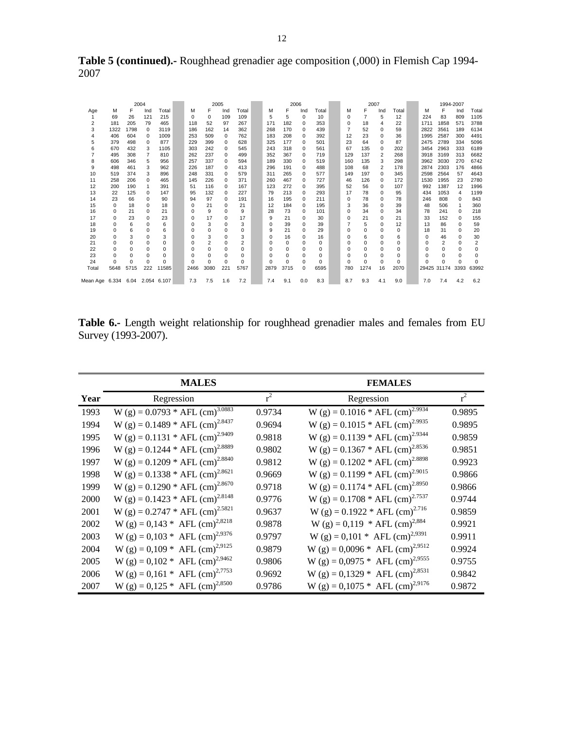| <b>Table 5 (continued).</b> Roughhead grenadier age composition (,000) in Flemish Cap 1994- |  |  |
|---------------------------------------------------------------------------------------------|--|--|
| 2007                                                                                        |  |  |

|                                 |             |          | 2004           |              |             | 2005           |          |                |          | 2006        |             |          |                | 2007           |          |          |             | 1994-2007      |          |                |
|---------------------------------|-------------|----------|----------------|--------------|-------------|----------------|----------|----------------|----------|-------------|-------------|----------|----------------|----------------|----------|----------|-------------|----------------|----------|----------------|
| Age                             | М           | F        | Ind            | Total        | М           | F              | Ind      | Total          | М        | F           | Ind         | Total    | м              | F              | Ind      | Total    | М           | F              | Ind      | Total          |
|                                 | 69          | 26       | 121            | 215          | $\mathbf 0$ | $\mathbf 0$    | 109      | 109            | 5        | 5           | $\mathbf 0$ | 10       | 0              | $\overline{7}$ | 5        | 12       | 224         | 83             | 809      | 1105           |
| $\overline{2}$                  | 181         | 205      | 79             | 465          | 118         | 52             | 97       | 267            | 171      | 182         | $\Omega$    | 353      | $\Omega$       | 18             | 4        | 22       | 1711        | 1858           | 571      | 3788           |
| 3                               | 1322        | 1798     | $\Omega$       | 3119         | 186         | 162            | 14       | 362            | 268      | 170         | $\Omega$    | 439      | $\overline{7}$ | 52             | $\Omega$ | 59       | 2822        | 3561           | 189      | 6134           |
| 4                               | 406         | 604      | $\Omega$       | 1009         | 253         | 509            | $\Omega$ | 762            | 183      | 208         | $\Omega$    | 392      | 12             | 23             | 0        | 36       | 1995        | 2587           | 300      | 4491           |
| 5                               | 379         | 498      | 0              | 877          | 229         | 399            | 0        | 628            | 325      | 177         | $\Omega$    | 501      | 23             | 64             | 0        | 87       | 2475        | 2789           | 334      | 5096           |
| 6                               | 670         | 432      | 3              | 1105         | 303         | 242            | $\Omega$ | 545            | 243      | 318         | $\Omega$    | 561      | 67             | 135            | $\Omega$ | 202      | 3454        | 2963           | 333      | 6189           |
|                                 | 495         | 308      | $\overline{7}$ | 810          | 262         | 237            | $\Omega$ | 499            | 352      | 367         | $\Omega$    | 719      | 129            | 137            | 2        | 268      | 3918        | 3169           | 313      | 6682           |
| 8                               | 606         | 346      | 5              | 956          | 257         | 337            | $\Omega$ | 594            | 189      | 330         | $\Omega$    | 519      | 160            | 135            | 3        | 298      | 3962        | 3030           | 270      | 6742           |
| 9                               | 498         | 461      | 3              | 962          | 226         | 187            | $\Omega$ | 413            | 296      | 191         | $\Omega$    | 488      | 108            | 68             | 2        | 178      | 2874        | 2303           | 176      | 4866           |
| 10                              | 519         | 374      | 3              | 896          | 248         | 331            | $\Omega$ | 579            | 311      | 265         | $\Omega$    | 577      | 149            | 197            | $\Omega$ | 345      | 2598        | 2564           | 57       | 4643           |
| 11                              | 258         | 206      | $\Omega$       | 465          | 145         | 226            | $\Omega$ | 371            | 260      | 467         | $\Omega$    | 727      | 46             | 126            | $\Omega$ | 172      | 1530        | 1955           | 23       | 2780           |
| 12                              | 200         | 190      | 1              | 391          | 51          | 116            | $\Omega$ | 167            | 123      | 272         | $\Omega$    | 395      | 52             | 56             | $\Omega$ | 107      | 992         | 1387           | 12       | 1996           |
| 13                              | 22          | 125      | $\Omega$       | 147          | 95          | 132            | $\Omega$ | 227            | 79       | 213         | $\Omega$    | 293      | 17             | 78             | $\Omega$ | 95       | 434         | 1053           | 4        | 1199           |
| 14                              | 23          | 66       | 0              | 90           | 94          | 97             | $\Omega$ | 191            | 16       | 195         | $\Omega$    | 211      | $\Omega$       | 78             | $\Omega$ | 78       | 246         | 808            | 0        | 843            |
| 15                              | $\Omega$    | 18       | $\Omega$       | 18           | 0           | 21             | $\Omega$ | 21             | 12       | 184         | $\Omega$    | 195      | 3              | 36             | $\Omega$ | 39       | 48          | 506            | 1        | 360            |
| 16                              | $\Omega$    | 21       | $\Omega$       | 21           | 0           | 9              | $\Omega$ | 9              | 28       | 73          | $\Omega$    | 101      | $\Omega$       | 34             | $\Omega$ | 34       | 78          | 241            | $\Omega$ | 218            |
| 17                              | 0           | 23       | $\Omega$       | 23           | 0           | 17             | $\Omega$ | 17             | 9        | 21          | $\Omega$    | 30       | $\Omega$       | 21             | $\Omega$ | 21       | 33          | 152            | $\Omega$ | 155            |
| 18                              | 0           | 6        | $\mathbf 0$    | 6            | O           | 3              | $\Omega$ | 3              | 0        | 39          | 0           | 39       | $\overline{7}$ | 5              | $\Omega$ | 12       | 13          | 86             | 0        | 59             |
| 19                              | $\mathbf 0$ | 6        | 0              | 6            | 0           | $\mathbf 0$    | $\Omega$ | $\Omega$       | 9        | 21          | $\Omega$    | 29       | $\Omega$       | $\Omega$       | $\Omega$ | $\Omega$ | 18          | 31             | $\Omega$ | 20             |
| 20                              | $\Omega$    | 3        | $\Omega$       | 3            | O           | 3              | $\Omega$ | 3              | $\Omega$ | 16          | $\Omega$    | 16       | $\Omega$       | 6              | $\Omega$ | 6        | 0           | 46             | $\Omega$ | 30             |
| 21                              | $\Omega$    | $\Omega$ | $\Omega$       | $\Omega$     | 0           | $\overline{2}$ | $\Omega$ | $\overline{2}$ | $\Omega$ | $\mathbf 0$ | $\Omega$    | $\Omega$ | $\Omega$       | $\Omega$       | $\Omega$ | $\Omega$ | 0           | $\overline{2}$ | $\Omega$ | $\overline{2}$ |
| 22                              | 0           | $\Omega$ | $\Omega$       | $\Omega$     | $\Omega$    | 0              | $\Omega$ | $\Omega$       | $\Omega$ | 0           | $\Omega$    | $\Omega$ | $\Omega$       | $\Omega$       | $\Omega$ | $\Omega$ | 0           | $\Omega$       | $\Omega$ | $\Omega$       |
| 23                              | $\Omega$    | $\Omega$ | $\Omega$       | <sup>0</sup> | 0           | $\Omega$       | $\Omega$ | $\Omega$       | $\Omega$ | $\mathbf 0$ | $\Omega$    | $\Omega$ | $\Omega$       | $\Omega$       | $\Omega$ | $\Omega$ | $\Omega$    | $\Omega$       | $\Omega$ | $\Omega$       |
| 24                              | $\Omega$    | $\Omega$ | $\Omega$       | $\Omega$     | C           | $\Omega$       | $\Omega$ | $\Omega$       | $\Omega$ | $\Omega$    | $\Omega$    | $\Omega$ | $\Omega$       | $\Omega$       | $\Omega$ | $\Omega$ | $\Omega$    | $\Omega$       | $\Omega$ | $\Omega$       |
| Total                           | 5648        | 5715     | 222            | 11585        | 2466        | 3080           | 221      | 5767           | 2879     | 3715        | $\Omega$    | 6595     | 780            | 1274           | 16       | 2070     | 29425 31174 |                | 3393     | 63992          |
| Mean Age 6.334 6.04 2.054 6.107 |             |          |                |              | 7.3         | 7.5            | 1.6      | 7.2            | 7.4      | 9.1         | 0.0         | 8.3      | 8.7            | 9.3            | 4.1      | 9.0      | 7.0         | 7.4            | 4.2      | 6.2            |

**Table 6.-** Length weight relationship for roughhead grenadier males and females from EU Survey (1993-2007).

|      | <b>MALES</b>                                  |        | <b>FEMALES</b>                                |        |
|------|-----------------------------------------------|--------|-----------------------------------------------|--------|
| Year | Regression                                    | $r^2$  | Regression                                    | $r^2$  |
| 1993 | W (g) = $0.0793 * AFL$ (cm) <sup>3.0883</sup> | 0.9734 | W (g) = $0.1016 * AFL$ (cm) <sup>2.9934</sup> | 0.9895 |
| 1994 | W (g) = $0.1489 * AFL$ (cm) <sup>2.8437</sup> | 0.9694 | W (g) = $0.1015 * AFL$ (cm) <sup>2.9935</sup> | 0.9895 |
| 1995 | W (g) = $0.1131 * AFL$ (cm) <sup>2.9409</sup> | 0.9818 | W (g) = 0.1139 * AFL (cm) <sup>2.9344</sup>   | 0.9859 |
| 1996 | W (g) = $0.1244 * AFL$ (cm) <sup>2.8889</sup> | 0.9802 | W (g) = $0.1367 * AFL$ (cm) <sup>2.8536</sup> | 0.9851 |
| 1997 | W (g) = $0.1209 * AFL$ (cm) <sup>2.8840</sup> | 0.9812 | W (g) = $0.1202 * AFL$ (cm) <sup>2.8898</sup> | 0.9923 |
| 1998 | W (g) = $0.1338 * AFL$ (cm) <sup>2.8621</sup> | 0.9669 | W (g) = $0.1199 * AFL$ (cm) <sup>2.9015</sup> | 0.9866 |
| 1999 | W (g) = $0.1290 * AFL$ (cm) <sup>2.8670</sup> | 0.9718 | W (g) = $0.1174$ * AFL (cm) <sup>2.8950</sup> | 0.9866 |
| 2000 | W (g) = $0.1423$ * AFL (cm) <sup>2.8148</sup> | 0.9776 | W (g) = $0.1708 * AFL$ (cm) <sup>2.7537</sup> | 0.9744 |
| 2001 | W (g) = $0.2747 * AFL$ (cm) <sup>2.5821</sup> | 0.9637 | W (g) = $0.1922 * AFL$ (cm) <sup>2.716</sup>  | 0.9859 |
| 2002 | W (g) = 0,143 * AFL (cm) <sup>2,8218</sup>    | 0.9878 | W (g) = 0,119 * AFL (cm) <sup>2,884</sup>     | 0.9921 |
| 2003 | W (g) = $0,103 * AFL$ (cm) <sup>2,9376</sup>  | 0.9797 | W (g) = 0,101 * AFL (cm) <sup>2,9391</sup>    | 0.9911 |
| 2004 | W (g) = $0,109$ * AFL (cm) <sup>2,9125</sup>  | 0.9879 | W (g) = $0,0096 *$ AFL (cm) <sup>2,9512</sup> | 0.9924 |
| 2005 | W (g) = $0,102$ * AFL (cm) <sup>2,9462</sup>  | 0.9806 | W (g) = $0.0975 * AFL$ (cm) <sup>2,9555</sup> | 0.9755 |
| 2006 | W (g) = 0,161 * AFL (cm) <sup>2,7753</sup>    | 0.9692 | W (g) = 0,1329 * AFL (cm) <sup>2,8531</sup>   | 0.9842 |
| 2007 | W (g) = $0,125 * AFL$ (cm) <sup>2,8500</sup>  | 0.9786 | W (g) = $0,1075$ * AFL (cm) <sup>2,9176</sup> | 0.9872 |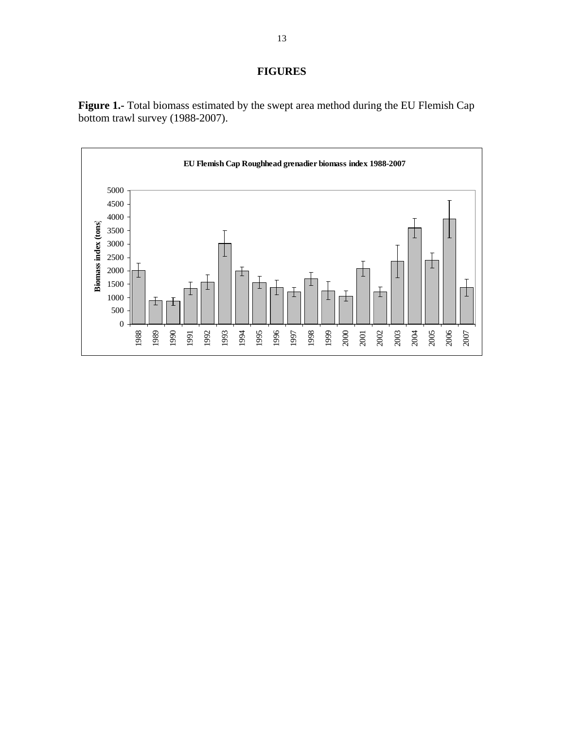# **FIGURES**



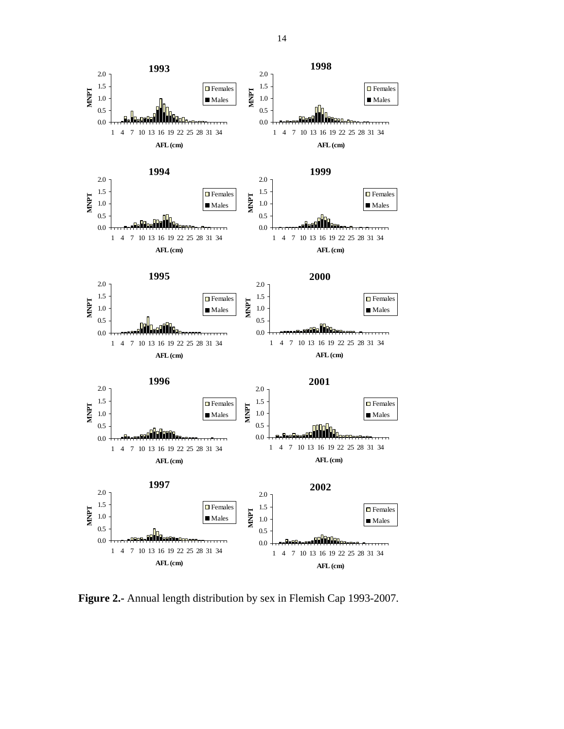

**Figure 2.-** Annual length distribution by sex in Flemish Cap 1993-2007.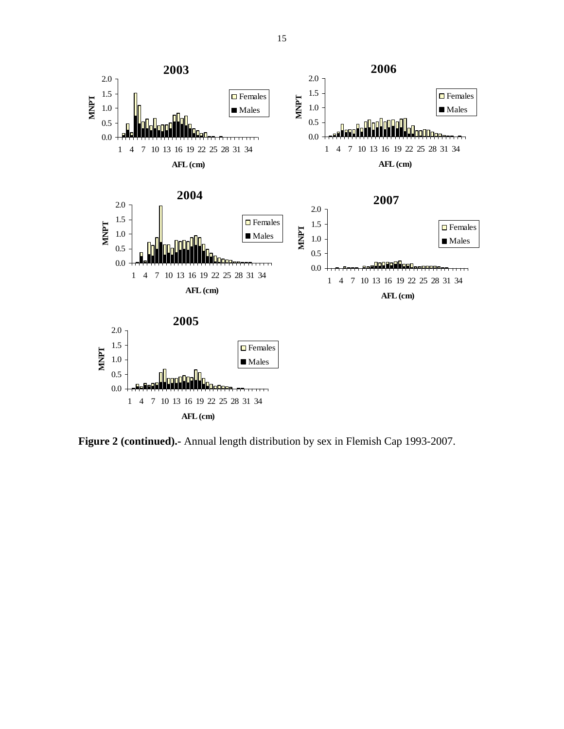

**Figure 2 (continued).-** Annual length distribution by sex in Flemish Cap 1993-2007.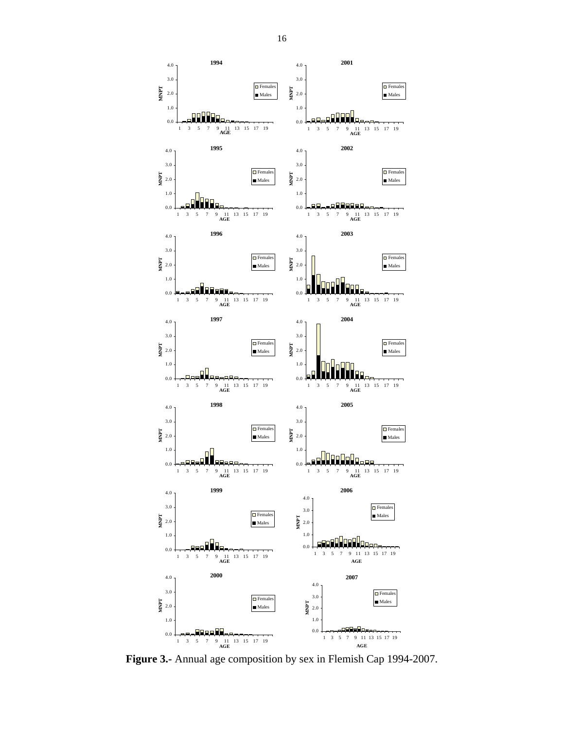

**Figure 3.-** Annual age composition by sex in Flemish Cap 1994-2007.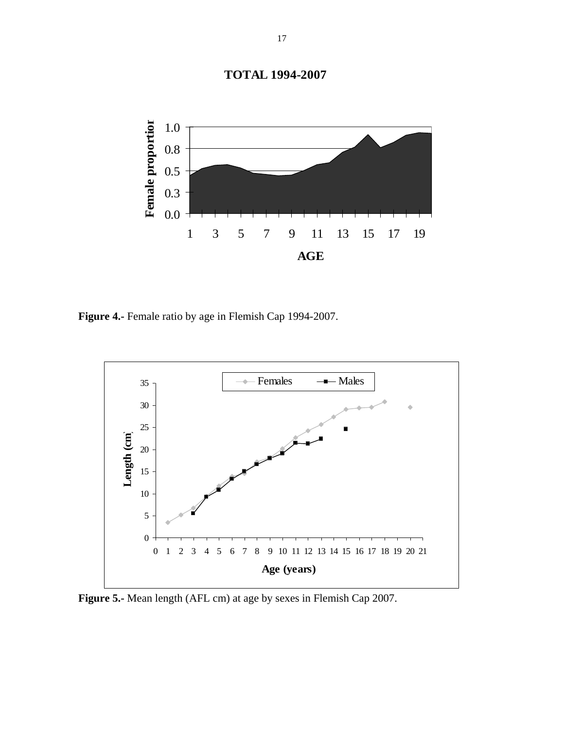

1 3 5 7 9 11 13 15 17 19

**AGE**

**Figure 4.-** Female ratio by age in Flemish Cap 1994-2007.



**Figure 5.-** Mean length (AFL cm) at age by sexes in Flemish Cap 2007.

**TOTAL 1994-2007**